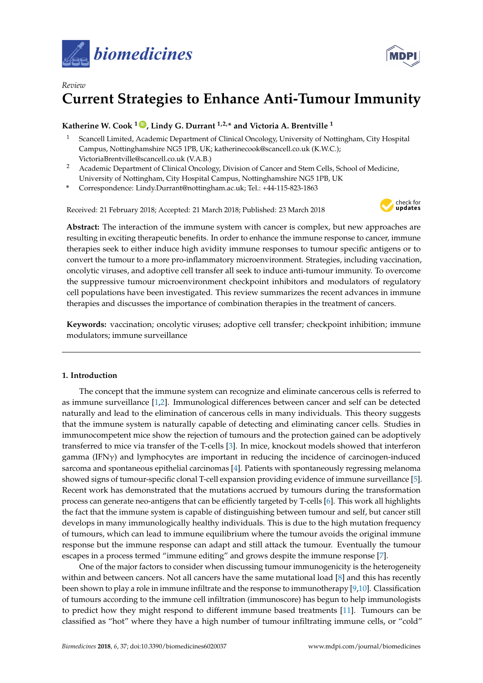



# *Review* **Current Strategies to Enhance Anti-Tumour Immunity**

## **Katherine W. Cook**  $1\bullet$ , Lindy G. Durrant  $1,2,*$  and Victoria A. Brentville  $1$

- <sup>1</sup> Scancell Limited, Academic Department of Clinical Oncology, University of Nottingham, City Hospital Campus, Nottinghamshire NG5 1PB, UK; katherinecook@scancell.co.uk (K.W.C.); VictoriaBrentville@scancell.co.uk (V.A.B.)
- <sup>2</sup> Academic Department of Clinical Oncology, Division of Cancer and Stem Cells, School of Medicine, University of Nottingham, City Hospital Campus, Nottinghamshire NG5 1PB, UK
- **\*** Correspondence: Lindy.Durrant@nottingham.ac.uk; Tel.: +44-115-823-1863

Received: 21 February 2018; Accepted: 21 March 2018; Published: 23 March 2018



**Abstract:** The interaction of the immune system with cancer is complex, but new approaches are resulting in exciting therapeutic benefits. In order to enhance the immune response to cancer, immune therapies seek to either induce high avidity immune responses to tumour specific antigens or to convert the tumour to a more pro-inflammatory microenvironment. Strategies, including vaccination, oncolytic viruses, and adoptive cell transfer all seek to induce anti-tumour immunity. To overcome the suppressive tumour microenvironment checkpoint inhibitors and modulators of regulatory cell populations have been investigated. This review summarizes the recent advances in immune therapies and discusses the importance of combination therapies in the treatment of cancers.

**Keywords:** vaccination; oncolytic viruses; adoptive cell transfer; checkpoint inhibition; immune modulators; immune surveillance

## **1. Introduction**

The concept that the immune system can recognize and eliminate cancerous cells is referred to as immune surveillance [\[1](#page-12-0)[,2\]](#page-12-1). Immunological differences between cancer and self can be detected naturally and lead to the elimination of cancerous cells in many individuals. This theory suggests that the immune system is naturally capable of detecting and eliminating cancer cells. Studies in immunocompetent mice show the rejection of tumours and the protection gained can be adoptively transferred to mice via transfer of the T-cells [\[3\]](#page-12-2). In mice, knockout models showed that interferon gamma (IFN $\gamma$ ) and lymphocytes are important in reducing the incidence of carcinogen-induced sarcoma and spontaneous epithelial carcinomas [\[4\]](#page-12-3). Patients with spontaneously regressing melanoma showed signs of tumour-specific clonal T-cell expansion providing evidence of immune surveillance [\[5\]](#page-12-4). Recent work has demonstrated that the mutations accrued by tumours during the transformation process can generate neo-antigens that can be efficiently targeted by T-cells [\[6\]](#page-12-5). This work all highlights the fact that the immune system is capable of distinguishing between tumour and self, but cancer still develops in many immunologically healthy individuals. This is due to the high mutation frequency of tumours, which can lead to immune equilibrium where the tumour avoids the original immune response but the immune response can adapt and still attack the tumour. Eventually the tumour escapes in a process termed "immune editing" and grows despite the immune response [\[7\]](#page-12-6).

One of the major factors to consider when discussing tumour immunogenicity is the heterogeneity within and between cancers. Not all cancers have the same mutational load [\[8\]](#page-12-7) and this has recently been shown to play a role in immune infiltrate and the response to immunotherapy [\[9](#page-12-8)[,10\]](#page-12-9). Classification of tumours according to the immune cell infiltration (immunoscore) has begun to help immunologists to predict how they might respond to different immune based treatments [\[11\]](#page-12-10). Tumours can be classified as "hot" where they have a high number of tumour infiltrating immune cells, or "cold"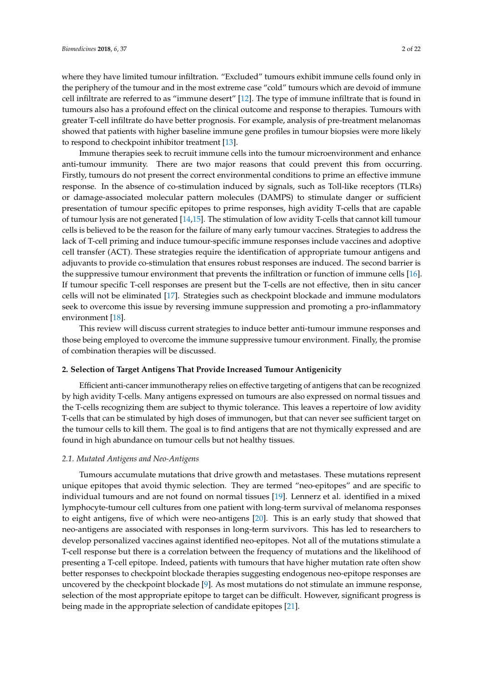where they have limited tumour infiltration. "Excluded" tumours exhibit immune cells found only in the periphery of the tumour and in the most extreme case "cold" tumours which are devoid of immune cell infiltrate are referred to as "immune desert" [\[12\]](#page-12-11). The type of immune infiltrate that is found in tumours also has a profound effect on the clinical outcome and response to therapies. Tumours with greater T-cell infiltrate do have better prognosis. For example, analysis of pre-treatment melanomas showed that patients with higher baseline immune gene profiles in tumour biopsies were more likely to respond to checkpoint inhibitor treatment [\[13\]](#page-12-12).

Immune therapies seek to recruit immune cells into the tumour microenvironment and enhance anti-tumour immunity. There are two major reasons that could prevent this from occurring. Firstly, tumours do not present the correct environmental conditions to prime an effective immune response. In the absence of co-stimulation induced by signals, such as Toll-like receptors (TLRs) or damage-associated molecular pattern molecules (DAMPS) to stimulate danger or sufficient presentation of tumour specific epitopes to prime responses, high avidity T-cells that are capable of tumour lysis are not generated [\[14](#page-12-13)[,15\]](#page-12-14). The stimulation of low avidity T-cells that cannot kill tumour cells is believed to be the reason for the failure of many early tumour vaccines. Strategies to address the lack of T-cell priming and induce tumour-specific immune responses include vaccines and adoptive cell transfer (ACT). These strategies require the identification of appropriate tumour antigens and adjuvants to provide co-stimulation that ensures robust responses are induced. The second barrier is the suppressive tumour environment that prevents the infiltration or function of immune cells [\[16\]](#page-12-15). If tumour specific T-cell responses are present but the T-cells are not effective, then in situ cancer cells will not be eliminated [\[17\]](#page-12-16). Strategies such as checkpoint blockade and immune modulators seek to overcome this issue by reversing immune suppression and promoting a pro-inflammatory environment [\[18\]](#page-12-17).

This review will discuss current strategies to induce better anti-tumour immune responses and those being employed to overcome the immune suppressive tumour environment. Finally, the promise of combination therapies will be discussed.

## **2. Selection of Target Antigens That Provide Increased Tumour Antigenicity**

Efficient anti-cancer immunotherapy relies on effective targeting of antigens that can be recognized by high avidity T-cells. Many antigens expressed on tumours are also expressed on normal tissues and the T-cells recognizing them are subject to thymic tolerance. This leaves a repertoire of low avidity T-cells that can be stimulated by high doses of immunogen, but that can never see sufficient target on the tumour cells to kill them. The goal is to find antigens that are not thymically expressed and are found in high abundance on tumour cells but not healthy tissues.

#### *2.1. Mutated Antigens and Neo-Antigens*

Tumours accumulate mutations that drive growth and metastases. These mutations represent unique epitopes that avoid thymic selection. They are termed "neo-epitopes" and are specific to individual tumours and are not found on normal tissues [\[19\]](#page-12-18). Lennerz et al. identified in a mixed lymphocyte-tumour cell cultures from one patient with long-term survival of melanoma responses to eight antigens, five of which were neo-antigens [\[20\]](#page-13-0). This is an early study that showed that neo-antigens are associated with responses in long-term survivors. This has led to researchers to develop personalized vaccines against identified neo-epitopes. Not all of the mutations stimulate a T-cell response but there is a correlation between the frequency of mutations and the likelihood of presenting a T-cell epitope. Indeed, patients with tumours that have higher mutation rate often show better responses to checkpoint blockade therapies suggesting endogenous neo-epitope responses are uncovered by the checkpoint blockade [\[9\]](#page-12-8). As most mutations do not stimulate an immune response, selection of the most appropriate epitope to target can be difficult. However, significant progress is being made in the appropriate selection of candidate epitopes [\[21\]](#page-13-1).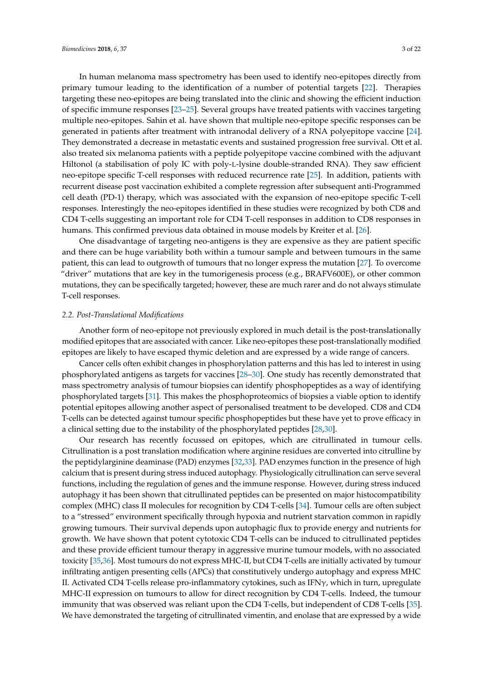In human melanoma mass spectrometry has been used to identify neo-epitopes directly from primary tumour leading to the identification of a number of potential targets [\[22\]](#page-13-2). Therapies targeting these neo-epitopes are being translated into the clinic and showing the efficient induction of specific immune responses [\[23](#page-13-3)[–25\]](#page-13-4). Several groups have treated patients with vaccines targeting multiple neo-epitopes. Sahin et al. have shown that multiple neo-epitope specific responses can be generated in patients after treatment with intranodal delivery of a RNA polyepitope vaccine [\[24\]](#page-13-5). They demonstrated a decrease in metastatic events and sustained progression free survival. Ott et al. also treated six melanoma patients with a peptide polyepitope vaccine combined with the adjuvant Hiltonol (a stabilisation of poly IC with poly-L-lysine double-stranded RNA). They saw efficient neo-epitope specific T-cell responses with reduced recurrence rate [\[25\]](#page-13-4). In addition, patients with recurrent disease post vaccination exhibited a complete regression after subsequent anti-Programmed cell death (PD-1) therapy, which was associated with the expansion of neo-epitope specific T-cell responses. Interestingly the neo-epitopes identified in these studies were recognized by both CD8 and CD4 T-cells suggesting an important role for CD4 T-cell responses in addition to CD8 responses in humans. This confirmed previous data obtained in mouse models by Kreiter et al. [\[26\]](#page-13-6).

One disadvantage of targeting neo-antigens is they are expensive as they are patient specific and there can be huge variability both within a tumour sample and between tumours in the same patient, this can lead to outgrowth of tumours that no longer express the mutation [\[27\]](#page-13-7). To overcome "driver" mutations that are key in the tumorigenesis process (e.g., BRAFV600E), or other common mutations, they can be specifically targeted; however, these are much rarer and do not always stimulate T-cell responses.

#### *2.2. Post-Translational Modifications*

Another form of neo-epitope not previously explored in much detail is the post-translationally modified epitopes that are associated with cancer. Like neo-epitopes these post-translationally modified epitopes are likely to have escaped thymic deletion and are expressed by a wide range of cancers.

Cancer cells often exhibit changes in phosphorylation patterns and this has led to interest in using phosphorylated antigens as targets for vaccines [\[28](#page-13-8)[–30\]](#page-13-9). One study has recently demonstrated that mass spectrometry analysis of tumour biopsies can identify phosphopeptides as a way of identifying phosphorylated targets [\[31\]](#page-13-10). This makes the phosphoproteomics of biopsies a viable option to identify potential epitopes allowing another aspect of personalised treatment to be developed. CD8 and CD4 T-cells can be detected against tumour specific phosphopeptides but these have yet to prove efficacy in a clinical setting due to the instability of the phosphorylated peptides [\[28](#page-13-8)[,30\]](#page-13-9).

Our research has recently focussed on epitopes, which are citrullinated in tumour cells. Citrullination is a post translation modification where arginine residues are converted into citrulline by the peptidylarginine deaminase (PAD) enzymes [\[32,](#page-13-11)[33\]](#page-13-12). PAD enzymes function in the presence of high calcium that is present during stress induced autophagy. Physiologically citrullination can serve several functions, including the regulation of genes and the immune response. However, during stress induced autophagy it has been shown that citrullinated peptides can be presented on major histocompatibility complex (MHC) class II molecules for recognition by CD4 T-cells [\[34\]](#page-13-13). Tumour cells are often subject to a "stressed" environment specifically through hypoxia and nutrient starvation common in rapidly growing tumours. Their survival depends upon autophagic flux to provide energy and nutrients for growth. We have shown that potent cytotoxic CD4 T-cells can be induced to citrullinated peptides and these provide efficient tumour therapy in aggressive murine tumour models, with no associated toxicity [\[35,](#page-13-14)[36\]](#page-13-15). Most tumours do not express MHC-II, but CD4 T-cells are initially activated by tumour infiltrating antigen presenting cells (APCs) that constitutively undergo autophagy and express MHC II. Activated CD4 T-cells release pro-inflammatory cytokines, such as IFNγ, which in turn, upregulate MHC-II expression on tumours to allow for direct recognition by CD4 T-cells. Indeed, the tumour immunity that was observed was reliant upon the CD4 T-cells, but independent of CD8 T-cells [\[35\]](#page-13-14). We have demonstrated the targeting of citrullinated vimentin, and enolase that are expressed by a wide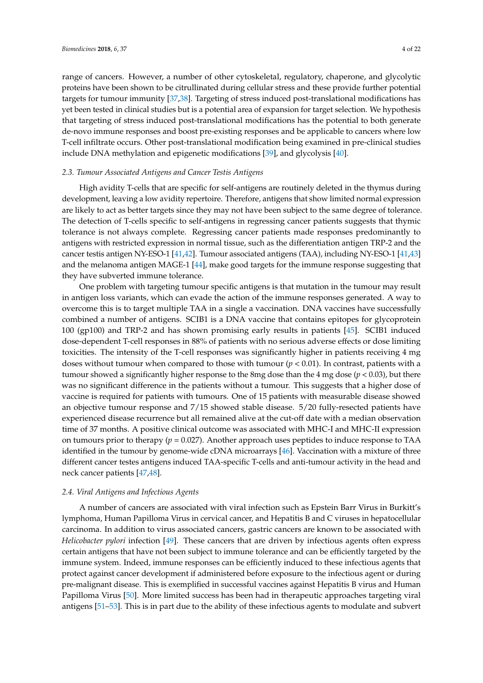range of cancers. However, a number of other cytoskeletal, regulatory, chaperone, and glycolytic proteins have been shown to be citrullinated during cellular stress and these provide further potential targets for tumour immunity [\[37](#page-14-0)[,38\]](#page-14-1). Targeting of stress induced post-translational modifications has yet been tested in clinical studies but is a potential area of expansion for target selection. We hypothesis that targeting of stress induced post-translational modifications has the potential to both generate de-novo immune responses and boost pre-existing responses and be applicable to cancers where low T-cell infiltrate occurs. Other post-translational modification being examined in pre-clinical studies include DNA methylation and epigenetic modifications [\[39\]](#page-14-2), and glycolysis [\[40\]](#page-14-3).

### *2.3. Tumour Associated Antigens and Cancer Testis Antigens*

High avidity T-cells that are specific for self-antigens are routinely deleted in the thymus during development, leaving a low avidity repertoire. Therefore, antigens that show limited normal expression are likely to act as better targets since they may not have been subject to the same degree of tolerance. The detection of T-cells specific to self-antigens in regressing cancer patients suggests that thymic tolerance is not always complete. Regressing cancer patients made responses predominantly to antigens with restricted expression in normal tissue, such as the differentiation antigen TRP-2 and the cancer testis antigen NY-ESO-1 [\[41](#page-14-4)[,42\]](#page-14-5). Tumour associated antigens (TAA), including NY-ESO-1 [\[41,](#page-14-4)[43\]](#page-14-6) and the melanoma antigen MAGE-1 [\[44\]](#page-14-7), make good targets for the immune response suggesting that they have subverted immune tolerance.

One problem with targeting tumour specific antigens is that mutation in the tumour may result in antigen loss variants, which can evade the action of the immune responses generated. A way to overcome this is to target multiple TAA in a single a vaccination. DNA vaccines have successfully combined a number of antigens. SCIB1 is a DNA vaccine that contains epitopes for glycoprotein 100 (gp100) and TRP-2 and has shown promising early results in patients [\[45\]](#page-14-8). SCIB1 induced dose-dependent T-cell responses in 88% of patients with no serious adverse effects or dose limiting toxicities. The intensity of the T-cell responses was significantly higher in patients receiving 4 mg doses without tumour when compared to those with tumour (*p* < 0.01). In contrast, patients with a tumour showed a significantly higher response to the 8mg dose than the 4 mg dose (*p* < 0.03), but there was no significant difference in the patients without a tumour. This suggests that a higher dose of vaccine is required for patients with tumours. One of 15 patients with measurable disease showed an objective tumour response and 7/15 showed stable disease. 5/20 fully-resected patients have experienced disease recurrence but all remained alive at the cut-off date with a median observation time of 37 months. A positive clinical outcome was associated with MHC-I and MHC-II expression on tumours prior to therapy (*p* = 0.027). Another approach uses peptides to induce response to TAA identified in the tumour by genome-wide cDNA microarrays [\[46\]](#page-14-9). Vaccination with a mixture of three different cancer testes antigens induced TAA-specific T-cells and anti-tumour activity in the head and neck cancer patients [\[47](#page-14-10)[,48\]](#page-14-11).

#### *2.4. Viral Antigens and Infectious Agents*

A number of cancers are associated with viral infection such as Epstein Barr Virus in Burkitt's lymphoma, Human Papilloma Virus in cervical cancer, and Hepatitis B and C viruses in hepatocellular carcinoma. In addition to virus associated cancers, gastric cancers are known to be associated with *Helicobacter pylori* infection [\[49\]](#page-14-12). These cancers that are driven by infectious agents often express certain antigens that have not been subject to immune tolerance and can be efficiently targeted by the immune system. Indeed, immune responses can be efficiently induced to these infectious agents that protect against cancer development if administered before exposure to the infectious agent or during pre-malignant disease. This is exemplified in successful vaccines against Hepatitis B virus and Human Papilloma Virus [\[50\]](#page-14-13). More limited success has been had in therapeutic approaches targeting viral antigens [\[51–](#page-14-14)[53\]](#page-14-15). This is in part due to the ability of these infectious agents to modulate and subvert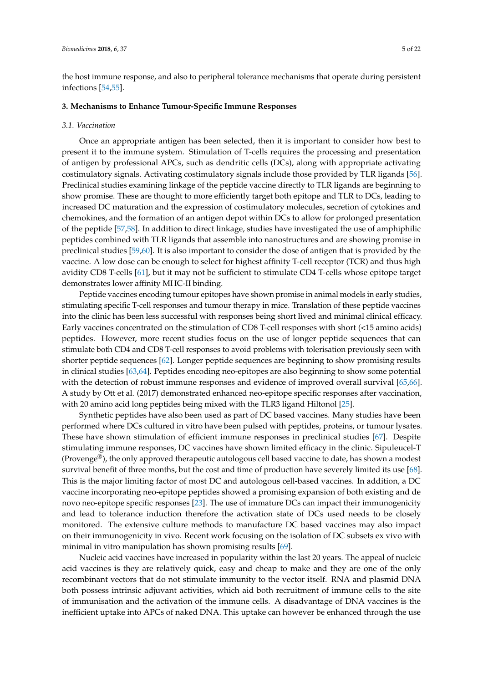the host immune response, and also to peripheral tolerance mechanisms that operate during persistent infections [\[54,](#page-15-0)[55\]](#page-15-1).

#### **3. Mechanisms to Enhance Tumour-Specific Immune Responses**

#### *3.1. Vaccination*

Once an appropriate antigen has been selected, then it is important to consider how best to present it to the immune system. Stimulation of T-cells requires the processing and presentation of antigen by professional APCs, such as dendritic cells (DCs), along with appropriate activating costimulatory signals. Activating costimulatory signals include those provided by TLR ligands [\[56\]](#page-15-2). Preclinical studies examining linkage of the peptide vaccine directly to TLR ligands are beginning to show promise. These are thought to more efficiently target both epitope and TLR to DCs, leading to increased DC maturation and the expression of costimulatory molecules, secretion of cytokines and chemokines, and the formation of an antigen depot within DCs to allow for prolonged presentation of the peptide [\[57,](#page-15-3)[58\]](#page-15-4). In addition to direct linkage, studies have investigated the use of amphiphilic peptides combined with TLR ligands that assemble into nanostructures and are showing promise in preclinical studies [\[59](#page-15-5)[,60\]](#page-15-6). It is also important to consider the dose of antigen that is provided by the vaccine. A low dose can be enough to select for highest affinity T-cell receptor (TCR) and thus high avidity CD8 T-cells [\[61\]](#page-15-7), but it may not be sufficient to stimulate CD4 T-cells whose epitope target demonstrates lower affinity MHC-II binding.

Peptide vaccines encoding tumour epitopes have shown promise in animal models in early studies, stimulating specific T-cell responses and tumour therapy in mice. Translation of these peptide vaccines into the clinic has been less successful with responses being short lived and minimal clinical efficacy. Early vaccines concentrated on the stimulation of CD8 T-cell responses with short (<15 amino acids) peptides. However, more recent studies focus on the use of longer peptide sequences that can stimulate both CD4 and CD8 T-cell responses to avoid problems with tolerisation previously seen with shorter peptide sequences [\[62\]](#page-15-8). Longer peptide sequences are beginning to show promising results in clinical studies [\[63,](#page-15-9)[64\]](#page-15-10). Peptides encoding neo-epitopes are also beginning to show some potential with the detection of robust immune responses and evidence of improved overall survival [\[65,](#page-15-11)[66\]](#page-15-12). A study by Ott et al. (2017) demonstrated enhanced neo-epitope specific responses after vaccination, with 20 amino acid long peptides being mixed with the TLR3 ligand Hiltonol [\[25\]](#page-13-4).

Synthetic peptides have also been used as part of DC based vaccines. Many studies have been performed where DCs cultured in vitro have been pulsed with peptides, proteins, or tumour lysates. These have shown stimulation of efficient immune responses in preclinical studies [\[67\]](#page-15-13). Despite stimulating immune responses, DC vaccines have shown limited efficacy in the clinic. Sipuleucel-T (Provenge<sup>®</sup>), the only approved therapeutic autologous cell based vaccine to date, has shown a modest survival benefit of three months, but the cost and time of production have severely limited its use [\[68\]](#page-15-14). This is the major limiting factor of most DC and autologous cell-based vaccines. In addition, a DC vaccine incorporating neo-epitope peptides showed a promising expansion of both existing and de novo neo-epitope specific responses [\[23\]](#page-13-3). The use of immature DCs can impact their immunogenicity and lead to tolerance induction therefore the activation state of DCs used needs to be closely monitored. The extensive culture methods to manufacture DC based vaccines may also impact on their immunogenicity in vivo. Recent work focusing on the isolation of DC subsets ex vivo with minimal in vitro manipulation has shown promising results [\[69\]](#page-15-15).

Nucleic acid vaccines have increased in popularity within the last 20 years. The appeal of nucleic acid vaccines is they are relatively quick, easy and cheap to make and they are one of the only recombinant vectors that do not stimulate immunity to the vector itself. RNA and plasmid DNA both possess intrinsic adjuvant activities, which aid both recruitment of immune cells to the site of immunisation and the activation of the immune cells. A disadvantage of DNA vaccines is the inefficient uptake into APCs of naked DNA. This uptake can however be enhanced through the use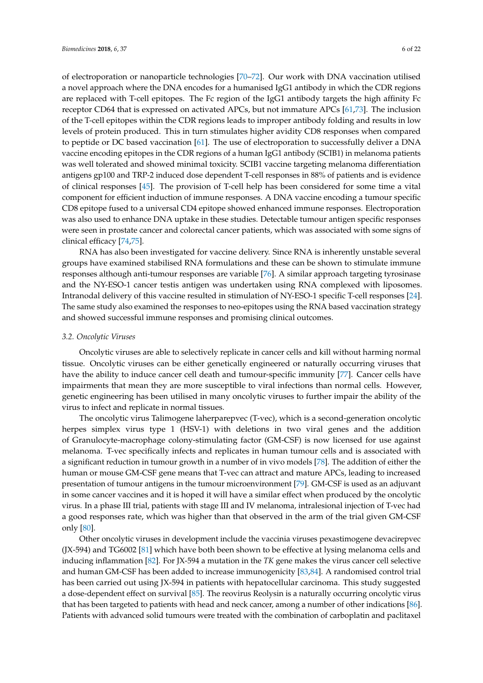of electroporation or nanoparticle technologies [\[70](#page-15-16)[–72\]](#page-16-0). Our work with DNA vaccination utilised a novel approach where the DNA encodes for a humanised IgG1 antibody in which the CDR regions are replaced with T-cell epitopes. The Fc region of the IgG1 antibody targets the high affinity Fc receptor CD64 that is expressed on activated APCs, but not immature APCs [\[61](#page-15-7)[,73\]](#page-16-1). The inclusion of the T-cell epitopes within the CDR regions leads to improper antibody folding and results in low levels of protein produced. This in turn stimulates higher avidity CD8 responses when compared to peptide or DC based vaccination [\[61\]](#page-15-7). The use of electroporation to successfully deliver a DNA vaccine encoding epitopes in the CDR regions of a human IgG1 antibody (SCIB1) in melanoma patients was well tolerated and showed minimal toxicity. SCIB1 vaccine targeting melanoma differentiation antigens gp100 and TRP-2 induced dose dependent T-cell responses in 88% of patients and is evidence of clinical responses [\[45\]](#page-14-8). The provision of T-cell help has been considered for some time a vital component for efficient induction of immune responses. A DNA vaccine encoding a tumour specific CD8 epitope fused to a universal CD4 epitope showed enhanced immune responses. Electroporation was also used to enhance DNA uptake in these studies. Detectable tumour antigen specific responses were seen in prostate cancer and colorectal cancer patients, which was associated with some signs of clinical efficacy [\[74](#page-16-2)[,75\]](#page-16-3).

RNA has also been investigated for vaccine delivery. Since RNA is inherently unstable several groups have examined stabilised RNA formulations and these can be shown to stimulate immune responses although anti-tumour responses are variable [\[76\]](#page-16-4). A similar approach targeting tyrosinase and the NY-ESO-1 cancer testis antigen was undertaken using RNA complexed with liposomes. Intranodal delivery of this vaccine resulted in stimulation of NY-ESO-1 specific T-cell responses [\[24\]](#page-13-5). The same study also examined the responses to neo-epitopes using the RNA based vaccination strategy and showed successful immune responses and promising clinical outcomes.

#### *3.2. Oncolytic Viruses*

Oncolytic viruses are able to selectively replicate in cancer cells and kill without harming normal tissue. Oncolytic viruses can be either genetically engineered or naturally occurring viruses that have the ability to induce cancer cell death and tumour-specific immunity [\[77\]](#page-16-5). Cancer cells have impairments that mean they are more susceptible to viral infections than normal cells. However, genetic engineering has been utilised in many oncolytic viruses to further impair the ability of the virus to infect and replicate in normal tissues.

The oncolytic virus Talimogene laherparepvec (T-vec), which is a second-generation oncolytic herpes simplex virus type 1 (HSV-1) with deletions in two viral genes and the addition of Granulocyte-macrophage colony-stimulating factor (GM-CSF) is now licensed for use against melanoma. T-vec specifically infects and replicates in human tumour cells and is associated with a significant reduction in tumour growth in a number of in vivo models [\[78\]](#page-16-6). The addition of either the human or mouse GM-CSF gene means that T-vec can attract and mature APCs, leading to increased presentation of tumour antigens in the tumour microenvironment [\[79\]](#page-16-7). GM-CSF is used as an adjuvant in some cancer vaccines and it is hoped it will have a similar effect when produced by the oncolytic virus. In a phase III trial, patients with stage III and IV melanoma, intralesional injection of T-vec had a good responses rate, which was higher than that observed in the arm of the trial given GM-CSF only [\[80\]](#page-16-8).

Other oncolytic viruses in development include the vaccinia viruses pexastimogene devacirepvec (JX-594) and TG6002 [\[81\]](#page-16-9) which have both been shown to be effective at lysing melanoma cells and inducing inflammation [\[82\]](#page-16-10). For JX-594 a mutation in the *TK* gene makes the virus cancer cell selective and human GM-CSF has been added to increase immunogenicity [\[83,](#page-16-11)[84\]](#page-16-12). A randomised control trial has been carried out using JX-594 in patients with hepatocellular carcinoma. This study suggested a dose-dependent effect on survival [\[85\]](#page-16-13). The reovirus Reolysin is a naturally occurring oncolytic virus that has been targeted to patients with head and neck cancer, among a number of other indications [\[86\]](#page-16-14). Patients with advanced solid tumours were treated with the combination of carboplatin and paclitaxel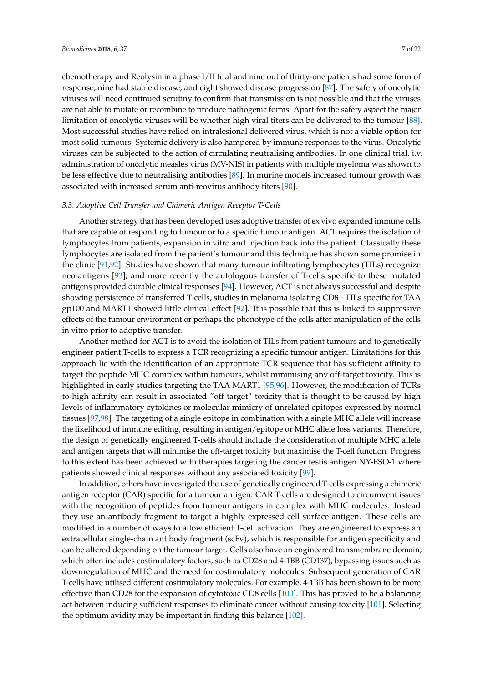chemotherapy and Reolysin in a phase I/II trial and nine out of thirty-one patients had some form of response, nine had stable disease, and eight showed disease progression [\[87\]](#page-16-15). The safety of oncolytic viruses will need continued scrutiny to confirm that transmission is not possible and that the viruses are not able to mutate or recombine to produce pathogenic forms. Apart for the safety aspect the major limitation of oncolytic viruses will be whether high viral titers can be delivered to the tumour [\[88\]](#page-16-16). Most successful studies have relied on intralesional delivered virus, which is not a viable option for most solid tumours. Systemic delivery is also hampered by immune responses to the virus. Oncolytic viruses can be subjected to the action of circulating neutralising antibodies. In one clinical trial, i.v. administration of oncolytic measles virus (MV-NIS) in patients with multiple myeloma was shown to be less effective due to neutralising antibodies [\[89\]](#page-16-17). In murine models increased tumour growth was associated with increased serum anti-reovirus antibody titers [\[90\]](#page-17-0).

#### *3.3. Adoptive Cell Transfer and Chimeric Antigen Receptor T-Cells*

Another strategy that has been developed uses adoptive transfer of ex vivo expanded immune cells that are capable of responding to tumour or to a specific tumour antigen. ACT requires the isolation of lymphocytes from patients, expansion in vitro and injection back into the patient. Classically these lymphocytes are isolated from the patient's tumour and this technique has shown some promise in the clinic [\[91](#page-17-1)[,92\]](#page-17-2). Studies have shown that many tumour infiltrating lymphocytes (TILs) recognize neo-antigens [\[93\]](#page-17-3), and more recently the autologous transfer of T-cells specific to these mutated antigens provided durable clinical responses [\[94\]](#page-17-4). However, ACT is not always successful and despite showing persistence of transferred T-cells, studies in melanoma isolating CD8+ TILs specific for TAA gp100 and MART1 showed little clinical effect [\[92\]](#page-17-2). It is possible that this is linked to suppressive effects of the tumour environment or perhaps the phenotype of the cells after manipulation of the cells in vitro prior to adoptive transfer.

Another method for ACT is to avoid the isolation of TILs from patient tumours and to genetically engineer patient T-cells to express a TCR recognizing a specific tumour antigen. Limitations for this approach lie with the identification of an appropriate TCR sequence that has sufficient affinity to target the peptide MHC complex within tumours, whilst minimising any off-target toxicity. This is highlighted in early studies targeting the TAA MART1 [\[95](#page-17-5)[,96\]](#page-17-6). However, the modification of TCRs to high affinity can result in associated "off target" toxicity that is thought to be caused by high levels of inflammatory cytokines or molecular mimicry of unrelated epitopes expressed by normal tissues [\[97](#page-17-7)[,98\]](#page-17-8). The targeting of a single epitope in combination with a single MHC allele will increase the likelihood of immune editing, resulting in antigen/epitope or MHC allele loss variants. Therefore, the design of genetically engineered T-cells should include the consideration of multiple MHC allele and antigen targets that will minimise the off-target toxicity but maximise the T-cell function. Progress to this extent has been achieved with therapies targeting the cancer testis antigen NY-ESO-1 where patients showed clinical responses without any associated toxicity [\[99\]](#page-17-9).

In addition, others have investigated the use of genetically engineered T-cells expressing a chimeric antigen receptor (CAR) specific for a tumour antigen. CAR T-cells are designed to circumvent issues with the recognition of peptides from tumour antigens in complex with MHC molecules. Instead they use an antibody fragment to target a highly expressed cell surface antigen. These cells are modified in a number of ways to allow efficient T-cell activation. They are engineered to express an extracellular single-chain antibody fragment (scFv), which is responsible for antigen specificity and can be altered depending on the tumour target. Cells also have an engineered transmembrane domain, which often includes costimulatory factors, such as CD28 and 4-1BB (CD137), bypassing issues such as downregulation of MHC and the need for costimulatory molecules. Subsequent generation of CAR T-cells have utilised different costimulatory molecules. For example, 4-1BB has been shown to be more effective than CD28 for the expansion of cytotoxic CD8 cells [\[100\]](#page-17-10). This has proved to be a balancing act between inducing sufficient responses to eliminate cancer without causing toxicity [\[101\]](#page-17-11). Selecting the optimum avidity may be important in finding this balance [\[102\]](#page-17-12).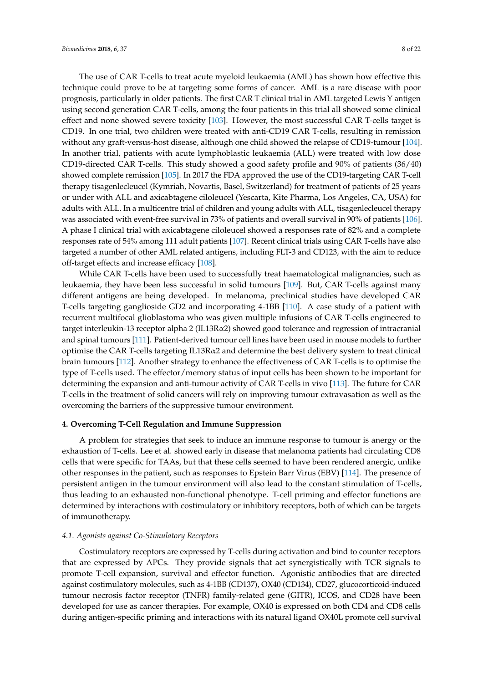The use of CAR T-cells to treat acute myeloid leukaemia (AML) has shown how effective this technique could prove to be at targeting some forms of cancer. AML is a rare disease with poor prognosis, particularly in older patients. The first CAR T clinical trial in AML targeted Lewis Y antigen using second generation CAR T-cells, among the four patients in this trial all showed some clinical effect and none showed severe toxicity [\[103\]](#page-17-13). However, the most successful CAR T-cells target is CD19. In one trial, two children were treated with anti-CD19 CAR T-cells, resulting in remission without any graft-versus-host disease, although one child showed the relapse of CD19-tumour [\[104\]](#page-17-14). In another trial, patients with acute lymphoblastic leukaemia (ALL) were treated with low dose CD19-directed CAR T-cells. This study showed a good safety profile and 90% of patients (36/40) showed complete remission [\[105\]](#page-17-15). In 2017 the FDA approved the use of the CD19-targeting CAR T-cell therapy tisagenlecleucel (Kymriah, Novartis, Basel, Switzerland) for treatment of patients of 25 years or under with ALL and axicabtagene ciloleucel (Yescarta, Kite Pharma, Los Angeles, CA, USA) for adults with ALL. In a multicentre trial of children and young adults with ALL, tisagenlecleucel therapy was associated with event-free survival in 73% of patients and overall survival in 90% of patients [\[106\]](#page-17-16). A phase I clinical trial with axicabtagene ciloleucel showed a responses rate of 82% and a complete responses rate of 54% among 111 adult patients [\[107\]](#page-18-0). Recent clinical trials using CAR T-cells have also targeted a number of other AML related antigens, including FLT-3 and CD123, with the aim to reduce off-target effects and increase efficacy [\[108\]](#page-18-1).

While CAR T-cells have been used to successfully treat haematological malignancies, such as leukaemia, they have been less successful in solid tumours [\[109\]](#page-18-2). But, CAR T-cells against many different antigens are being developed. In melanoma, preclinical studies have developed CAR T-cells targeting ganglioside GD2 and incorporating 4-1BB [\[110\]](#page-18-3). A case study of a patient with recurrent multifocal glioblastoma who was given multiple infusions of CAR T-cells engineered to target interleukin-13 receptor alpha 2 (IL13Rα2) showed good tolerance and regression of intracranial and spinal tumours [\[111\]](#page-18-4). Patient-derived tumour cell lines have been used in mouse models to further optimise the CAR T-cells targeting IL13R $\alpha$ 2 and determine the best delivery system to treat clinical brain tumours [\[112\]](#page-18-5). Another strategy to enhance the effectiveness of CAR T-cells is to optimise the type of T-cells used. The effector/memory status of input cells has been shown to be important for determining the expansion and anti-tumour activity of CAR T-cells in vivo [\[113\]](#page-18-6). The future for CAR T-cells in the treatment of solid cancers will rely on improving tumour extravasation as well as the overcoming the barriers of the suppressive tumour environment.

#### **4. Overcoming T-Cell Regulation and Immune Suppression**

A problem for strategies that seek to induce an immune response to tumour is anergy or the exhaustion of T-cells. Lee et al. showed early in disease that melanoma patients had circulating CD8 cells that were specific for TAAs, but that these cells seemed to have been rendered anergic, unlike other responses in the patient, such as responses to Epstein Barr Virus (EBV) [\[114\]](#page-18-7). The presence of persistent antigen in the tumour environment will also lead to the constant stimulation of T-cells, thus leading to an exhausted non-functional phenotype. T-cell priming and effector functions are determined by interactions with costimulatory or inhibitory receptors, both of which can be targets of immunotherapy.

#### *4.1. Agonists against Co-Stimulatory Receptors*

Costimulatory receptors are expressed by T-cells during activation and bind to counter receptors that are expressed by APCs. They provide signals that act synergistically with TCR signals to promote T-cell expansion, survival and effector function. Agonistic antibodies that are directed against costimulatory molecules, such as 4-1BB (CD137), OX40 (CD134), CD27, glucocorticoid-induced tumour necrosis factor receptor (TNFR) family-related gene (GITR), ICOS, and CD28 have been developed for use as cancer therapies. For example, OX40 is expressed on both CD4 and CD8 cells during antigen-specific priming and interactions with its natural ligand OX40L promote cell survival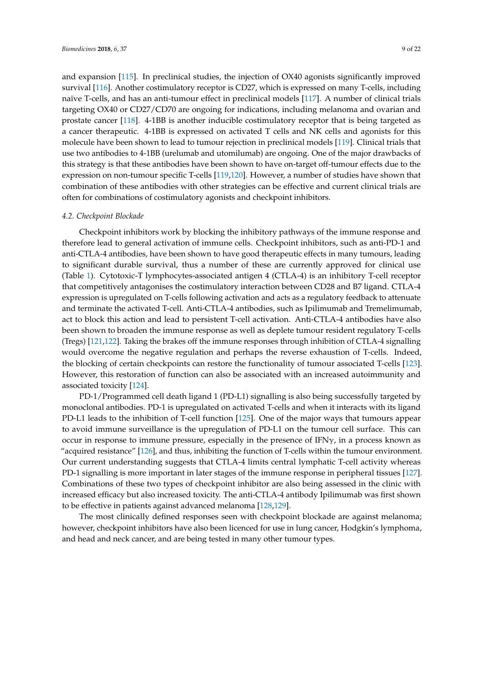and expansion [\[115\]](#page-18-8). In preclinical studies, the injection of OX40 agonists significantly improved survival [\[116\]](#page-18-9). Another costimulatory receptor is CD27, which is expressed on many T-cells, including naïve T-cells, and has an anti-tumour effect in preclinical models [\[117\]](#page-18-10). A number of clinical trials targeting OX40 or CD27/CD70 are ongoing for indications, including melanoma and ovarian and prostate cancer [\[118\]](#page-18-11). 4-1BB is another inducible costimulatory receptor that is being targeted as a cancer therapeutic. 4-1BB is expressed on activated T cells and NK cells and agonists for this molecule have been shown to lead to tumour rejection in preclinical models [\[119\]](#page-18-12). Clinical trials that use two antibodies to 4-1BB (urelumab and utomilumab) are ongoing. One of the major drawbacks of this strategy is that these antibodies have been shown to have on-target off-tumour effects due to the expression on non-tumour specific T-cells [\[119](#page-18-12)[,120\]](#page-18-13). However, a number of studies have shown that combination of these antibodies with other strategies can be effective and current clinical trials are often for combinations of costimulatory agonists and checkpoint inhibitors.

#### *4.2. Checkpoint Blockade*

Checkpoint inhibitors work by blocking the inhibitory pathways of the immune response and therefore lead to general activation of immune cells. Checkpoint inhibitors, such as anti-PD-1 and anti-CTLA-4 antibodies, have been shown to have good therapeutic effects in many tumours, leading to significant durable survival, thus a number of these are currently approved for clinical use (Table [1\)](#page-9-0). Cytotoxic-T lymphocytes-associated antigen 4 (CTLA-4) is an inhibitory T-cell receptor that competitively antagonises the costimulatory interaction between CD28 and B7 ligand. CTLA-4 expression is upregulated on T-cells following activation and acts as a regulatory feedback to attenuate and terminate the activated T-cell. Anti-CTLA-4 antibodies, such as Ipilimumab and Tremelimumab, act to block this action and lead to persistent T-cell activation. Anti-CTLA-4 antibodies have also been shown to broaden the immune response as well as deplete tumour resident regulatory T-cells (Tregs) [\[121](#page-18-14)[,122\]](#page-18-15). Taking the brakes off the immune responses through inhibition of CTLA-4 signalling would overcome the negative regulation and perhaps the reverse exhaustion of T-cells. Indeed, the blocking of certain checkpoints can restore the functionality of tumour associated T-cells [\[123\]](#page-18-16). However, this restoration of function can also be associated with an increased autoimmunity and associated toxicity [\[124\]](#page-18-17).

PD-1/Programmed cell death ligand 1 (PD-L1) signalling is also being successfully targeted by monoclonal antibodies. PD-1 is upregulated on activated T-cells and when it interacts with its ligand PD-L1 leads to the inhibition of T-cell function [\[125\]](#page-18-18). One of the major ways that tumours appear to avoid immune surveillance is the upregulation of PD-L1 on the tumour cell surface. This can occur in response to immune pressure, especially in the presence of  $IFN\gamma$ , in a process known as "acquired resistance" [\[126\]](#page-18-19), and thus, inhibiting the function of T-cells within the tumour environment. Our current understanding suggests that CTLA-4 limits central lymphatic T-cell activity whereas PD-1 signalling is more important in later stages of the immune response in peripheral tissues [\[127\]](#page-18-20). Combinations of these two types of checkpoint inhibitor are also being assessed in the clinic with increased efficacy but also increased toxicity. The anti-CTLA-4 antibody Ipilimumab was first shown to be effective in patients against advanced melanoma [\[128](#page-19-0)[,129\]](#page-19-1).

The most clinically defined responses seen with checkpoint blockade are against melanoma; however, checkpoint inhibitors have also been licenced for use in lung cancer, Hodgkin's lymphoma, and head and neck cancer, and are being tested in many other tumour types.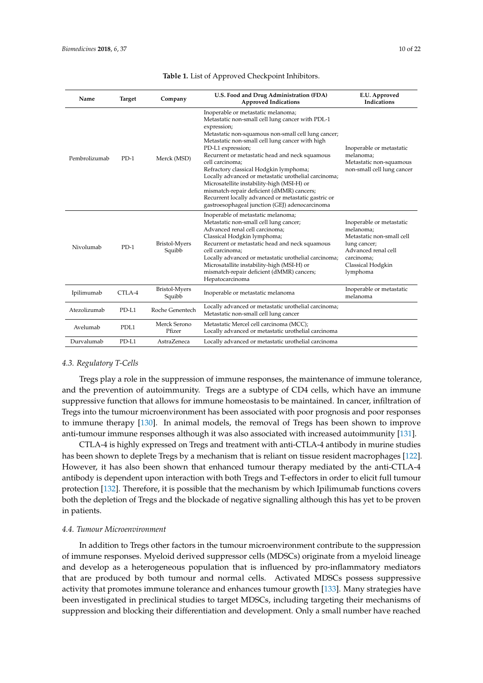<span id="page-9-0"></span>

| Name          | <b>Target</b>    | Company                 | U.S. Food and Drug Administration (FDA)<br><b>Approved Indications</b>                                                                                                                                                                                                                                                                                                                                                                                                                                                                                                                                          | E.U. Approved<br>Indications                                                                                                                             |
|---------------|------------------|-------------------------|-----------------------------------------------------------------------------------------------------------------------------------------------------------------------------------------------------------------------------------------------------------------------------------------------------------------------------------------------------------------------------------------------------------------------------------------------------------------------------------------------------------------------------------------------------------------------------------------------------------------|----------------------------------------------------------------------------------------------------------------------------------------------------------|
| Pembrolizumab | $PD-1$           | Merck (MSD)             | Inoperable or metastatic melanoma;<br>Metastatic non-small cell lung cancer with PDL-1<br>expression;<br>Metastatic non-squamous non-small cell lung cancer;<br>Metastatic non-small cell lung cancer with high<br>PD-L1 expression;<br>Recurrent or metastatic head and neck squamous<br>cell carcinoma:<br>Refractory classical Hodgkin lymphoma;<br>Locally advanced or metastatic urothelial carcinoma;<br>Microsatellite instability-high (MSI-H) or<br>mismatch-repair deficient (dMMR) cancers;<br>Recurrent locally advanced or metastatic gastric or<br>gastroesophageal junction (GEJ) adenocarcinoma | Inoperable or metastatic<br>melanoma;<br>Metastatic non-squamous<br>non-small cell lung cancer                                                           |
| Nivolumab     | $PD-1$           | Bristol-Myers<br>Squibb | Inoperable of metastatic melanoma;<br>Metastatic non-small cell lung cancer;<br>Advanced renal cell carcinoma;<br>Classical Hodgkin lymphoma;<br>Recurrent or metastatic head and neck squamous<br>cell carcinoma;<br>Locally advanced or metastatic urothelial carcinoma;<br>Microsatallite instability-high (MSI-H) or<br>mismatch-repair deficient (dMMR) cancers;<br>Hepatocarcinoma                                                                                                                                                                                                                        | Inoperable or metastatic<br>melanoma:<br>Metastatic non-small cell<br>lung cancer;<br>Advanced renal cell<br>carcinoma;<br>Classical Hodgkin<br>lymphoma |
| Ipilimumab    | CTLA-4           | Bristol-Myers<br>Squibb | Inoperable or metastatic melanoma                                                                                                                                                                                                                                                                                                                                                                                                                                                                                                                                                                               | Inoperable or metastatic<br>melanoma                                                                                                                     |
| Atezolizumab  | $PD-L1$          | Roche Genentech         | Locally advanced or metastatic urothelial carcinoma;<br>Metastatic non-small cell lung cancer                                                                                                                                                                                                                                                                                                                                                                                                                                                                                                                   |                                                                                                                                                          |
| Avelumab      | PDL <sub>1</sub> | Merck Serono<br>Pfizer  | Metastatic Mercel cell carcinoma (MCC);<br>Locally advanced or metastatic urothelial carcinoma                                                                                                                                                                                                                                                                                                                                                                                                                                                                                                                  |                                                                                                                                                          |
| Durvalumab    | PD-L1            | AstraZeneca             | Locally advanced or metastatic urothelial carcinoma                                                                                                                                                                                                                                                                                                                                                                                                                                                                                                                                                             |                                                                                                                                                          |

#### **Table 1.** List of Approved Checkpoint Inhibitors.

## *4.3. Regulatory T-Cells*

Tregs play a role in the suppression of immune responses, the maintenance of immune tolerance, and the prevention of autoimmunity. Tregs are a subtype of CD4 cells, which have an immune suppressive function that allows for immune homeostasis to be maintained. In cancer, infiltration of Tregs into the tumour microenvironment has been associated with poor prognosis and poor responses to immune therapy [\[130\]](#page-19-2). In animal models, the removal of Tregs has been shown to improve anti-tumour immune responses although it was also associated with increased autoimmunity [\[131\]](#page-19-3).

CTLA-4 is highly expressed on Tregs and treatment with anti-CTLA-4 antibody in murine studies has been shown to deplete Tregs by a mechanism that is reliant on tissue resident macrophages [\[122\]](#page-18-15). However, it has also been shown that enhanced tumour therapy mediated by the anti-CTLA-4 antibody is dependent upon interaction with both Tregs and T-effectors in order to elicit full tumour protection [\[132\]](#page-19-4). Therefore, it is possible that the mechanism by which Ipilimumab functions covers both the depletion of Tregs and the blockade of negative signalling although this has yet to be proven in patients.

#### *4.4. Tumour Microenvironment*

In addition to Tregs other factors in the tumour microenvironment contribute to the suppression of immune responses. Myeloid derived suppressor cells (MDSCs) originate from a myeloid lineage and develop as a heterogeneous population that is influenced by pro-inflammatory mediators that are produced by both tumour and normal cells. Activated MDSCs possess suppressive activity that promotes immune tolerance and enhances tumour growth [\[133\]](#page-19-5). Many strategies have been investigated in preclinical studies to target MDSCs, including targeting their mechanisms of suppression and blocking their differentiation and development. Only a small number have reached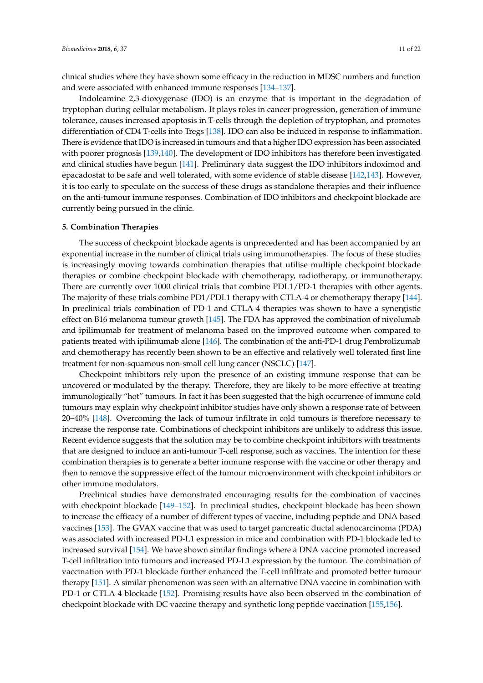clinical studies where they have shown some efficacy in the reduction in MDSC numbers and function and were associated with enhanced immune responses [\[134–](#page-19-6)[137\]](#page-19-7).

Indoleamine 2,3-dioxygenase (IDO) is an enzyme that is important in the degradation of tryptophan during cellular metabolism. It plays roles in cancer progression, generation of immune tolerance, causes increased apoptosis in T-cells through the depletion of tryptophan, and promotes differentiation of CD4 T-cells into Tregs [\[138\]](#page-19-8). IDO can also be induced in response to inflammation. There is evidence that IDO is increased in tumours and that a higher IDO expression has been associated with poorer prognosis [\[139](#page-19-9)[,140\]](#page-19-10). The development of IDO inhibitors has therefore been investigated and clinical studies have begun [\[141\]](#page-19-11). Preliminary data suggest the IDO inhibitors indoximod and epacadostat to be safe and well tolerated, with some evidence of stable disease [\[142,](#page-19-12)[143\]](#page-19-13). However, it is too early to speculate on the success of these drugs as standalone therapies and their influence on the anti-tumour immune responses. Combination of IDO inhibitors and checkpoint blockade are currently being pursued in the clinic.

#### **5. Combination Therapies**

The success of checkpoint blockade agents is unprecedented and has been accompanied by an exponential increase in the number of clinical trials using immunotherapies. The focus of these studies is increasingly moving towards combination therapies that utilise multiple checkpoint blockade therapies or combine checkpoint blockade with chemotherapy, radiotherapy, or immunotherapy. There are currently over 1000 clinical trials that combine PDL1/PD-1 therapies with other agents. The majority of these trials combine PD1/PDL1 therapy with CTLA-4 or chemotherapy therapy [\[144\]](#page-19-14). In preclinical trials combination of PD-1 and CTLA-4 therapies was shown to have a synergistic effect on B16 melanoma tumour growth [\[145\]](#page-19-15). The FDA has approved the combination of nivolumab and ipilimumab for treatment of melanoma based on the improved outcome when compared to patients treated with ipilimumab alone [\[146\]](#page-20-0). The combination of the anti-PD-1 drug Pembrolizumab and chemotherapy has recently been shown to be an effective and relatively well tolerated first line treatment for non-squamous non-small cell lung cancer (NSCLC) [\[147\]](#page-20-1).

Checkpoint inhibitors rely upon the presence of an existing immune response that can be uncovered or modulated by the therapy. Therefore, they are likely to be more effective at treating immunologically "hot" tumours. In fact it has been suggested that the high occurrence of immune cold tumours may explain why checkpoint inhibitor studies have only shown a response rate of between 20–40% [\[148\]](#page-20-2). Overcoming the lack of tumour infiltrate in cold tumours is therefore necessary to increase the response rate. Combinations of checkpoint inhibitors are unlikely to address this issue. Recent evidence suggests that the solution may be to combine checkpoint inhibitors with treatments that are designed to induce an anti-tumour T-cell response, such as vaccines. The intention for these combination therapies is to generate a better immune response with the vaccine or other therapy and then to remove the suppressive effect of the tumour microenvironment with checkpoint inhibitors or other immune modulators.

Preclinical studies have demonstrated encouraging results for the combination of vaccines with checkpoint blockade [\[149](#page-20-3)[–152\]](#page-20-4). In preclinical studies, checkpoint blockade has been shown to increase the efficacy of a number of different types of vaccine, including peptide and DNA based vaccines [\[153\]](#page-20-5). The GVAX vaccine that was used to target pancreatic ductal adenocarcinoma (PDA) was associated with increased PD-L1 expression in mice and combination with PD-1 blockade led to increased survival [\[154\]](#page-20-6). We have shown similar findings where a DNA vaccine promoted increased T-cell infiltration into tumours and increased PD-L1 expression by the tumour. The combination of vaccination with PD-1 blockade further enhanced the T-cell infiltrate and promoted better tumour therapy [\[151\]](#page-20-7). A similar phenomenon was seen with an alternative DNA vaccine in combination with PD-1 or CTLA-4 blockade [\[152\]](#page-20-4). Promising results have also been observed in the combination of checkpoint blockade with DC vaccine therapy and synthetic long peptide vaccination [\[155,](#page-20-8)[156\]](#page-20-9).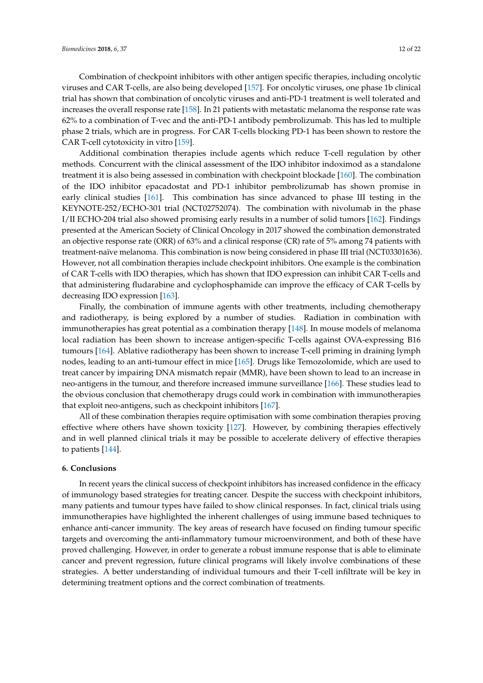Combination of checkpoint inhibitors with other antigen specific therapies, including oncolytic viruses and CAR T-cells, are also being developed [\[157\]](#page-20-10). For oncolytic viruses, one phase 1b clinical trial has shown that combination of oncolytic viruses and anti-PD-1 treatment is well tolerated and increases the overall response rate [\[158\]](#page-20-11). In 21 patients with metastatic melanoma the response rate was 62% to a combination of T-vec and the anti-PD-1 antibody pembrolizumab. This has led to multiple phase 2 trials, which are in progress. For CAR T-cells blocking PD-1 has been shown to restore the CAR T-cell cytotoxicity in vitro [\[159\]](#page-20-12).

Additional combination therapies include agents which reduce T-cell regulation by other methods. Concurrent with the clinical assessment of the IDO inhibitor indoximod as a standalone treatment it is also being assessed in combination with checkpoint blockade [\[160\]](#page-20-13). The combination of the IDO inhibitor epacadostat and PD-1 inhibitor pembrolizumab has shown promise in early clinical studies [\[161\]](#page-20-14). This combination has since advanced to phase III testing in the KEYNOTE-252/ECHO-301 trial (NCT02752074). The combination with nivolumab in the phase I/II ECHO-204 trial also showed promising early results in a number of solid tumors [\[162\]](#page-21-0). Findings presented at the American Society of Clinical Oncology in 2017 showed the combination demonstrated an objective response rate (ORR) of 63% and a clinical response (CR) rate of 5% among 74 patients with treatment-naïve melanoma. This combination is now being considered in phase III trial (NCT03301636). However, not all combination therapies include checkpoint inhibitors. One example is the combination of CAR T-cells with IDO therapies, which has shown that IDO expression can inhibit CAR T-cells and that administering fludarabine and cyclophosphamide can improve the efficacy of CAR T-cells by decreasing IDO expression [\[163\]](#page-21-1).

Finally, the combination of immune agents with other treatments, including chemotherapy and radiotherapy, is being explored by a number of studies. Radiation in combination with immunotherapies has great potential as a combination therapy [\[148\]](#page-20-2). In mouse models of melanoma local radiation has been shown to increase antigen-specific T-cells against OVA-expressing B16 tumours [\[164\]](#page-21-2). Ablative radiotherapy has been shown to increase T-cell priming in draining lymph nodes, leading to an anti-tumour effect in mice [\[165\]](#page-21-3). Drugs like Temozolomide, which are used to treat cancer by impairing DNA mismatch repair (MMR), have been shown to lead to an increase in neo-antigens in the tumour, and therefore increased immune surveillance [\[166\]](#page-21-4). These studies lead to the obvious conclusion that chemotherapy drugs could work in combination with immunotherapies that exploit neo-antigens, such as checkpoint inhibitors [\[167\]](#page-21-5).

All of these combination therapies require optimisation with some combination therapies proving effective where others have shown toxicity [\[127\]](#page-18-20). However, by combining therapies effectively and in well planned clinical trials it may be possible to accelerate delivery of effective therapies to patients [\[144\]](#page-19-14).

#### **6. Conclusions**

In recent years the clinical success of checkpoint inhibitors has increased confidence in the efficacy of immunology based strategies for treating cancer. Despite the success with checkpoint inhibitors, many patients and tumour types have failed to show clinical responses. In fact, clinical trials using immunotherapies have highlighted the inherent challenges of using immune based techniques to enhance anti-cancer immunity. The key areas of research have focused on finding tumour specific targets and overcoming the anti-inflammatory tumour microenvironment, and both of these have proved challenging. However, in order to generate a robust immune response that is able to eliminate cancer and prevent regression, future clinical programs will likely involve combinations of these strategies. A better understanding of individual tumours and their T-cell infiltrate will be key in determining treatment options and the correct combination of treatments.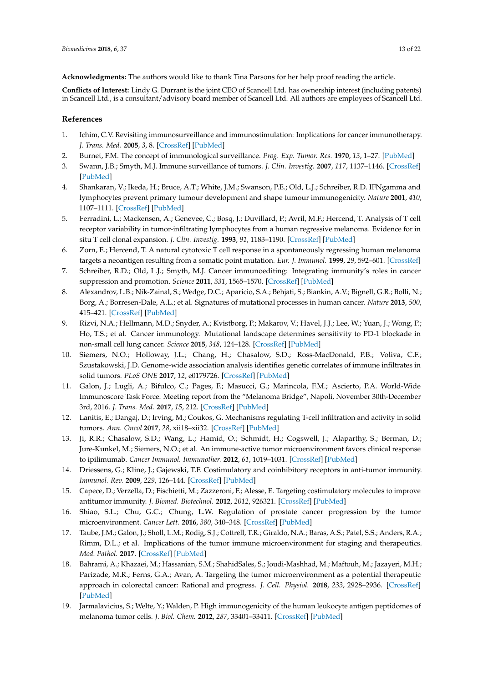**Acknowledgments:** The authors would like to thank Tina Parsons for her help proof reading the article.

**Conflicts of Interest:** Lindy G. Durrant is the joint CEO of Scancell Ltd. has ownership interest (including patents) in Scancell Ltd., is a consultant/advisory board member of Scancell Ltd. All authors are employees of Scancell Ltd.

## **References**

- <span id="page-12-0"></span>1. Ichim, C.V. Revisiting immunosurveillance and immunostimulation: Implications for cancer immunotherapy. *J. Trans. Med.* **2005**, *3*, 8. [\[CrossRef\]](http://dx.doi.org/10.1186/1479-5876-3-8) [\[PubMed\]](http://www.ncbi.nlm.nih.gov/pubmed/15698481)
- <span id="page-12-1"></span>2. Burnet, F.M. The concept of immunological surveillance. *Prog. Exp. Tumor. Res.* **1970**, *13*, 1–27. [\[PubMed\]](http://www.ncbi.nlm.nih.gov/pubmed/4921480)
- <span id="page-12-2"></span>3. Swann, J.B.; Smyth, M.J. Immune surveillance of tumors. *J. Clin. Investig.* **2007**, *117*, 1137–1146. [\[CrossRef\]](http://dx.doi.org/10.1172/JCI31405) [\[PubMed\]](http://www.ncbi.nlm.nih.gov/pubmed/17476343)
- <span id="page-12-3"></span>4. Shankaran, V.; Ikeda, H.; Bruce, A.T.; White, J.M.; Swanson, P.E.; Old, L.J.; Schreiber, R.D. IFNgamma and lymphocytes prevent primary tumour development and shape tumour immunogenicity. *Nature* **2001**, *410*, 1107–1111. [\[CrossRef\]](http://dx.doi.org/10.1038/35074122) [\[PubMed\]](http://www.ncbi.nlm.nih.gov/pubmed/11323675)
- <span id="page-12-4"></span>5. Ferradini, L.; Mackensen, A.; Genevee, C.; Bosq, J.; Duvillard, P.; Avril, M.F.; Hercend, T. Analysis of T cell receptor variability in tumor-infiltrating lymphocytes from a human regressive melanoma. Evidence for in situ T cell clonal expansion. *J. Clin. Investig.* **1993**, *91*, 1183–1190. [\[CrossRef\]](http://dx.doi.org/10.1172/JCI116278) [\[PubMed\]](http://www.ncbi.nlm.nih.gov/pubmed/8450047)
- <span id="page-12-5"></span>6. Zorn, E.; Hercend, T. A natural cytotoxic T cell response in a spontaneously regressing human melanoma targets a neoantigen resulting from a somatic point mutation. *Eur. J. Immunol.* **1999**, *29*, 592–601. [\[CrossRef\]](http://dx.doi.org/10.1002/(SICI)1521-4141(199902)29:02<592::AID-IMMU592>3.0.CO;2-2)
- <span id="page-12-6"></span>7. Schreiber, R.D.; Old, L.J.; Smyth, M.J. Cancer immunoediting: Integrating immunity's roles in cancer suppression and promotion. *Science* **2011**, *331*, 1565–1570. [\[CrossRef\]](http://dx.doi.org/10.1126/science.1203486) [\[PubMed\]](http://www.ncbi.nlm.nih.gov/pubmed/21436444)
- <span id="page-12-7"></span>8. Alexandrov, L.B.; Nik-Zainal, S.; Wedge, D.C.; Aparicio, S.A.; Behjati, S.; Biankin, A.V.; Bignell, G.R.; Bolli, N.; Borg, A.; Borresen-Dale, A.L.; et al. Signatures of mutational processes in human cancer. *Nature* **2013**, *500*, 415–421. [\[CrossRef\]](http://dx.doi.org/10.1038/nature12477) [\[PubMed\]](http://www.ncbi.nlm.nih.gov/pubmed/23945592)
- <span id="page-12-8"></span>9. Rizvi, N.A.; Hellmann, M.D.; Snyder, A.; Kvistborg, P.; Makarov, V.; Havel, J.J.; Lee, W.; Yuan, J.; Wong, P.; Ho, T.S.; et al. Cancer immunology. Mutational landscape determines sensitivity to PD-1 blockade in non-small cell lung cancer. *Science* **2015**, *348*, 124–128. [\[CrossRef\]](http://dx.doi.org/10.1126/science.aaa1348) [\[PubMed\]](http://www.ncbi.nlm.nih.gov/pubmed/25765070)
- <span id="page-12-9"></span>10. Siemers, N.O.; Holloway, J.L.; Chang, H.; Chasalow, S.D.; Ross-MacDonald, P.B.; Voliva, C.F.; Szustakowski, J.D. Genome-wide association analysis identifies genetic correlates of immune infiltrates in solid tumors. *PLoS ONE* **2017**, *12*, e0179726. [\[CrossRef\]](http://dx.doi.org/10.1371/journal.pone.0179726) [\[PubMed\]](http://www.ncbi.nlm.nih.gov/pubmed/28749946)
- <span id="page-12-10"></span>11. Galon, J.; Lugli, A.; Bifulco, C.; Pages, F.; Masucci, G.; Marincola, F.M.; Ascierto, P.A. World-Wide Immunoscore Task Force: Meeting report from the "Melanoma Bridge", Napoli, November 30th-December 3rd, 2016. *J. Trans. Med.* **2017**, *15*, 212. [\[CrossRef\]](http://dx.doi.org/10.1186/s12967-017-1310-9) [\[PubMed\]](http://www.ncbi.nlm.nih.gov/pubmed/29058595)
- <span id="page-12-11"></span>12. Lanitis, E.; Dangaj, D.; Irving, M.; Coukos, G. Mechanisms regulating T-cell infiltration and activity in solid tumors. *Ann. Oncol* **2017**, *28*, xii18–xii32. [\[CrossRef\]](http://dx.doi.org/10.1093/annonc/mdx238) [\[PubMed\]](http://www.ncbi.nlm.nih.gov/pubmed/29045511)
- <span id="page-12-12"></span>13. Ji, R.R.; Chasalow, S.D.; Wang, L.; Hamid, O.; Schmidt, H.; Cogswell, J.; Alaparthy, S.; Berman, D.; Jure-Kunkel, M.; Siemers, N.O.; et al. An immune-active tumor microenvironment favors clinical response to ipilimumab. *Cancer Immunol. Immunother.* **2012**, *61*, 1019–1031. [\[CrossRef\]](http://dx.doi.org/10.1007/s00262-011-1172-6) [\[PubMed\]](http://www.ncbi.nlm.nih.gov/pubmed/22146893)
- <span id="page-12-13"></span>14. Driessens, G.; Kline, J.; Gajewski, T.F. Costimulatory and coinhibitory receptors in anti-tumor immunity. *Immunol. Rev.* **2009**, *229*, 126–144. [\[CrossRef\]](http://dx.doi.org/10.1111/j.1600-065X.2009.00771.x) [\[PubMed\]](http://www.ncbi.nlm.nih.gov/pubmed/19426219)
- <span id="page-12-14"></span>15. Capece, D.; Verzella, D.; Fischietti, M.; Zazzeroni, F.; Alesse, E. Targeting costimulatory molecules to improve antitumor immunity. *J. Biomed. Biotechnol.* **2012**, *2012*, 926321. [\[CrossRef\]](http://dx.doi.org/10.1155/2012/926321) [\[PubMed\]](http://www.ncbi.nlm.nih.gov/pubmed/22500111)
- <span id="page-12-15"></span>16. Shiao, S.L.; Chu, G.C.; Chung, L.W. Regulation of prostate cancer progression by the tumor microenvironment. *Cancer Lett.* **2016**, *380*, 340–348. [\[CrossRef\]](http://dx.doi.org/10.1016/j.canlet.2015.12.022) [\[PubMed\]](http://www.ncbi.nlm.nih.gov/pubmed/26828013)
- <span id="page-12-16"></span>17. Taube, J.M.; Galon, J.; Sholl, L.M.; Rodig, S.J.; Cottrell, T.R.; Giraldo, N.A.; Baras, A.S.; Patel, S.S.; Anders, R.A.; Rimm, D.L.; et al. Implications of the tumor immune microenvironment for staging and therapeutics. *Mod. Pathol.* **2017**. [\[CrossRef\]](http://dx.doi.org/10.1038/modpathol.2017.156) [\[PubMed\]](http://www.ncbi.nlm.nih.gov/pubmed/29192647)
- <span id="page-12-17"></span>18. Bahrami, A.; Khazaei, M.; Hassanian, S.M.; ShahidSales, S.; Joudi-Mashhad, M.; Maftouh, M.; Jazayeri, M.H.; Parizade, M.R.; Ferns, G.A.; Avan, A. Targeting the tumor microenvironment as a potential therapeutic approach in colorectal cancer: Rational and progress. *J. Cell. Physiol.* **2018**, *233*, 2928–2936. [\[CrossRef\]](http://dx.doi.org/10.1002/jcp.26041) [\[PubMed\]](http://www.ncbi.nlm.nih.gov/pubmed/28574572)
- <span id="page-12-18"></span>19. Jarmalavicius, S.; Welte, Y.; Walden, P. High immunogenicity of the human leukocyte antigen peptidomes of melanoma tumor cells. *J. Biol. Chem.* **2012**, *287*, 33401–33411. [\[CrossRef\]](http://dx.doi.org/10.1074/jbc.M112.358903) [\[PubMed\]](http://www.ncbi.nlm.nih.gov/pubmed/22869377)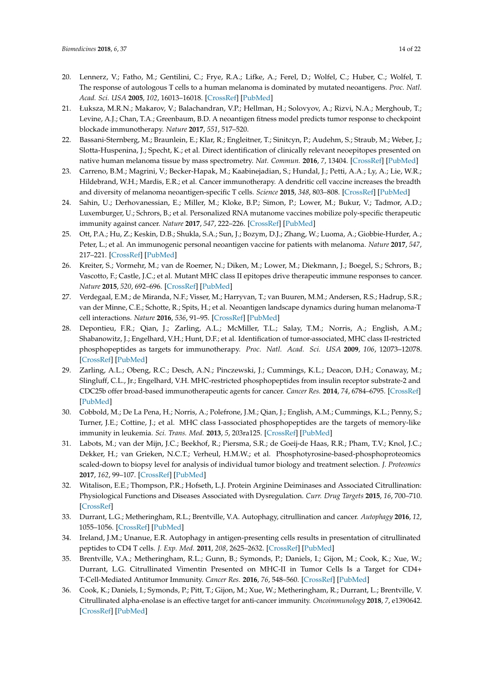- <span id="page-13-0"></span>20. Lennerz, V.; Fatho, M.; Gentilini, C.; Frye, R.A.; Lifke, A.; Ferel, D.; Wolfel, C.; Huber, C.; Wolfel, T. The response of autologous T cells to a human melanoma is dominated by mutated neoantigens. *Proc. Natl. Acad. Sci. USA* **2005**, *102*, 16013–16018. [\[CrossRef\]](http://dx.doi.org/10.1073/pnas.0500090102) [\[PubMed\]](http://www.ncbi.nlm.nih.gov/pubmed/16247014)
- <span id="page-13-1"></span>21. Łuksza, M.R.N.; Makarov, V.; Balachandran, V.P.; Hellman, H.; Solovyov, A.; Rizvi, N.A.; Merghoub, T.; Levine, A.J.; Chan, T.A.; Greenbaum, B.D. A neoantigen fitness model predicts tumor response to checkpoint blockade immunotherapy. *Nature* **2017**, *551*, 517–520.
- <span id="page-13-2"></span>22. Bassani-Sternberg, M.; Braunlein, E.; Klar, R.; Engleitner, T.; Sinitcyn, P.; Audehm, S.; Straub, M.; Weber, J.; Slotta-Huspenina, J.; Specht, K.; et al. Direct identification of clinically relevant neoepitopes presented on native human melanoma tissue by mass spectrometry. *Nat. Commun.* **2016**, *7*, 13404. [\[CrossRef\]](http://dx.doi.org/10.1038/ncomms13404) [\[PubMed\]](http://www.ncbi.nlm.nih.gov/pubmed/27869121)
- <span id="page-13-3"></span>23. Carreno, B.M.; Magrini, V.; Becker-Hapak, M.; Kaabinejadian, S.; Hundal, J.; Petti, A.A.; Ly, A.; Lie, W.R.; Hildebrand, W.H.; Mardis, E.R.; et al. Cancer immunotherapy. A dendritic cell vaccine increases the breadth and diversity of melanoma neoantigen-specific T cells. *Science* **2015**, *348*, 803–808. [\[CrossRef\]](http://dx.doi.org/10.1126/science.aaa3828) [\[PubMed\]](http://www.ncbi.nlm.nih.gov/pubmed/25837513)
- <span id="page-13-5"></span>24. Sahin, U.; Derhovanessian, E.; Miller, M.; Kloke, B.P.; Simon, P.; Lower, M.; Bukur, V.; Tadmor, A.D.; Luxemburger, U.; Schrors, B.; et al. Personalized RNA mutanome vaccines mobilize poly-specific therapeutic immunity against cancer. *Nature* **2017**, *547*, 222–226. [\[CrossRef\]](http://dx.doi.org/10.1038/nature23003) [\[PubMed\]](http://www.ncbi.nlm.nih.gov/pubmed/28678784)
- <span id="page-13-4"></span>25. Ott, P.A.; Hu, Z.; Keskin, D.B.; Shukla, S.A.; Sun, J.; Bozym, D.J.; Zhang, W.; Luoma, A.; Giobbie-Hurder, A.; Peter, L.; et al. An immunogenic personal neoantigen vaccine for patients with melanoma. *Nature* **2017**, *547*, 217–221. [\[CrossRef\]](http://dx.doi.org/10.1038/nature22991) [\[PubMed\]](http://www.ncbi.nlm.nih.gov/pubmed/28678778)
- <span id="page-13-6"></span>26. Kreiter, S.; Vormehr, M.; van de Roemer, N.; Diken, M.; Lower, M.; Diekmann, J.; Boegel, S.; Schrors, B.; Vascotto, F.; Castle, J.C.; et al. Mutant MHC class II epitopes drive therapeutic immune responses to cancer. *Nature* **2015**, *520*, 692–696. [\[CrossRef\]](http://dx.doi.org/10.1038/nature14426) [\[PubMed\]](http://www.ncbi.nlm.nih.gov/pubmed/25901682)
- <span id="page-13-7"></span>27. Verdegaal, E.M.; de Miranda, N.F.; Visser, M.; Harryvan, T.; van Buuren, M.M.; Andersen, R.S.; Hadrup, S.R.; van der Minne, C.E.; Schotte, R.; Spits, H.; et al. Neoantigen landscape dynamics during human melanoma-T cell interactions. *Nature* **2016**, *536*, 91–95. [\[CrossRef\]](http://dx.doi.org/10.1038/nature18945) [\[PubMed\]](http://www.ncbi.nlm.nih.gov/pubmed/27350335)
- <span id="page-13-8"></span>28. Depontieu, F.R.; Qian, J.; Zarling, A.L.; McMiller, T.L.; Salay, T.M.; Norris, A.; English, A.M.; Shabanowitz, J.; Engelhard, V.H.; Hunt, D.F.; et al. Identification of tumor-associated, MHC class II-restricted phosphopeptides as targets for immunotherapy. *Proc. Natl. Acad. Sci. USA* **2009**, *106*, 12073–12078. [\[CrossRef\]](http://dx.doi.org/10.1073/pnas.0903852106) [\[PubMed\]](http://www.ncbi.nlm.nih.gov/pubmed/19581576)
- 29. Zarling, A.L.; Obeng, R.C.; Desch, A.N.; Pinczewski, J.; Cummings, K.L.; Deacon, D.H.; Conaway, M.; Slingluff, C.L., Jr.; Engelhard, V.H. MHC-restricted phosphopeptides from insulin receptor substrate-2 and CDC25b offer broad-based immunotherapeutic agents for cancer. *Cancer Res.* **2014**, *74*, 6784–6795. [\[CrossRef\]](http://dx.doi.org/10.1158/0008-5472.CAN-14-0043) [\[PubMed\]](http://www.ncbi.nlm.nih.gov/pubmed/25297629)
- <span id="page-13-9"></span>30. Cobbold, M.; De La Pena, H.; Norris, A.; Polefrone, J.M.; Qian, J.; English, A.M.; Cummings, K.L.; Penny, S.; Turner, J.E.; Cottine, J.; et al. MHC class I-associated phosphopeptides are the targets of memory-like immunity in leukemia. *Sci. Trans. Med.* **2013**, *5*, 203ra125. [\[CrossRef\]](http://dx.doi.org/10.1126/scitranslmed.3006061) [\[PubMed\]](http://www.ncbi.nlm.nih.gov/pubmed/24048523)
- <span id="page-13-10"></span>31. Labots, M.; van der Mijn, J.C.; Beekhof, R.; Piersma, S.R.; de Goeij-de Haas, R.R.; Pham, T.V.; Knol, J.C.; Dekker, H.; van Grieken, N.C.T.; Verheul, H.M.W.; et al. Phosphotyrosine-based-phosphoproteomics scaled-down to biopsy level for analysis of individual tumor biology and treatment selection. *J. Proteomics* **2017**, *162*, 99–107. [\[CrossRef\]](http://dx.doi.org/10.1016/j.jprot.2017.04.014) [\[PubMed\]](http://www.ncbi.nlm.nih.gov/pubmed/28442448)
- <span id="page-13-11"></span>32. Witalison, E.E.; Thompson, P.R.; Hofseth, L.J. Protein Arginine Deiminases and Associated Citrullination: Physiological Functions and Diseases Associated with Dysregulation. *Curr. Drug Targets* **2015**, *16*, 700–710. [\[CrossRef\]](http://dx.doi.org/10.2174/1389450116666150202160954)
- <span id="page-13-12"></span>33. Durrant, L.G.; Metheringham, R.L.; Brentville, V.A. Autophagy, citrullination and cancer. *Autophagy* **2016**, *12*, 1055–1056. [\[CrossRef\]](http://dx.doi.org/10.1080/15548627.2016.1166326) [\[PubMed\]](http://www.ncbi.nlm.nih.gov/pubmed/27145231)
- <span id="page-13-13"></span>34. Ireland, J.M.; Unanue, E.R. Autophagy in antigen-presenting cells results in presentation of citrullinated peptides to CD4 T cells. *J. Exp. Med.* **2011**, *208*, 2625–2632. [\[CrossRef\]](http://dx.doi.org/10.1084/jem.20110640) [\[PubMed\]](http://www.ncbi.nlm.nih.gov/pubmed/22162830)
- <span id="page-13-14"></span>35. Brentville, V.A.; Metheringham, R.L.; Gunn, B.; Symonds, P.; Daniels, I.; Gijon, M.; Cook, K.; Xue, W.; Durrant, L.G. Citrullinated Vimentin Presented on MHC-II in Tumor Cells Is a Target for CD4+ T-Cell-Mediated Antitumor Immunity. *Cancer Res.* **2016**, *76*, 548–560. [\[CrossRef\]](http://dx.doi.org/10.1158/0008-5472.CAN-15-1085) [\[PubMed\]](http://www.ncbi.nlm.nih.gov/pubmed/26719533)
- <span id="page-13-15"></span>36. Cook, K.; Daniels, I.; Symonds, P.; Pitt, T.; Gijon, M.; Xue, W.; Metheringham, R.; Durrant, L.; Brentville, V. Citrullinated alpha-enolase is an effective target for anti-cancer immunity. *Oncoimmunology* **2018**, *7*, e1390642. [\[CrossRef\]](http://dx.doi.org/10.1080/2162402X.2017.1390642) [\[PubMed\]](http://www.ncbi.nlm.nih.gov/pubmed/29308319)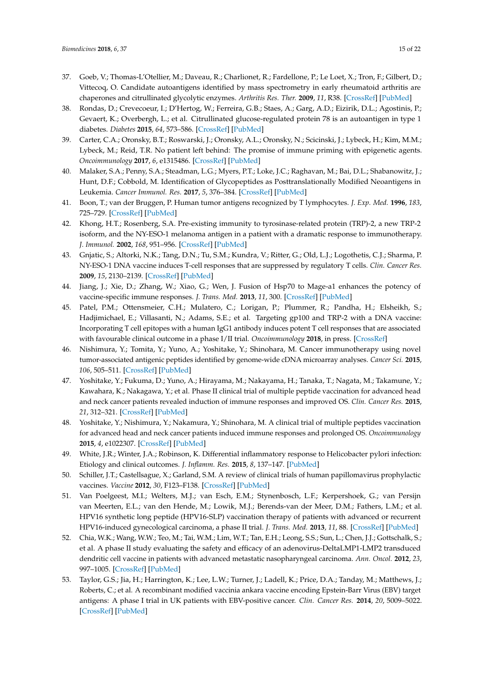- <span id="page-14-0"></span>37. Goeb, V.; Thomas-L'Otellier, M.; Daveau, R.; Charlionet, R.; Fardellone, P.; Le Loet, X.; Tron, F.; Gilbert, D.; Vittecoq, O. Candidate autoantigens identified by mass spectrometry in early rheumatoid arthritis are chaperones and citrullinated glycolytic enzymes. *Arthritis Res. Ther.* **2009**, *11*, R38. [\[CrossRef\]](http://dx.doi.org/10.1186/ar2644) [\[PubMed\]](http://www.ncbi.nlm.nih.gov/pubmed/19284558)
- <span id="page-14-1"></span>38. Rondas, D.; Crevecoeur, I.; D'Hertog, W.; Ferreira, G.B.; Staes, A.; Garg, A.D.; Eizirik, D.L.; Agostinis, P.; Gevaert, K.; Overbergh, L.; et al. Citrullinated glucose-regulated protein 78 is an autoantigen in type 1 diabetes. *Diabetes* **2015**, *64*, 573–586. [\[CrossRef\]](http://dx.doi.org/10.2337/db14-0621) [\[PubMed\]](http://www.ncbi.nlm.nih.gov/pubmed/25204978)
- <span id="page-14-2"></span>39. Carter, C.A.; Oronsky, B.T.; Roswarski, J.; Oronsky, A.L.; Oronsky, N.; Scicinski, J.; Lybeck, H.; Kim, M.M.; Lybeck, M.; Reid, T.R. No patient left behind: The promise of immune priming with epigenetic agents. *Oncoimmunology* **2017**, *6*, e1315486. [\[CrossRef\]](http://dx.doi.org/10.1080/2162402X.2017.1315486) [\[PubMed\]](http://www.ncbi.nlm.nih.gov/pubmed/29123948)
- <span id="page-14-3"></span>40. Malaker, S.A.; Penny, S.A.; Steadman, L.G.; Myers, P.T.; Loke, J.C.; Raghavan, M.; Bai, D.L.; Shabanowitz, J.; Hunt, D.F.; Cobbold, M. Identification of Glycopeptides as Posttranslationally Modified Neoantigens in Leukemia. *Cancer Immunol. Res.* **2017**, *5*, 376–384. [\[CrossRef\]](http://dx.doi.org/10.1158/2326-6066.CIR-16-0280) [\[PubMed\]](http://www.ncbi.nlm.nih.gov/pubmed/28314751)
- <span id="page-14-4"></span>41. Boon, T.; van der Bruggen, P. Human tumor antigens recognized by T lymphocytes. *J. Exp. Med.* **1996**, *183*, 725–729. [\[CrossRef\]](http://dx.doi.org/10.1084/jem.183.3.725) [\[PubMed\]](http://www.ncbi.nlm.nih.gov/pubmed/8642276)
- <span id="page-14-5"></span>42. Khong, H.T.; Rosenberg, S.A. Pre-existing immunity to tyrosinase-related protein (TRP)-2, a new TRP-2 isoform, and the NY-ESO-1 melanoma antigen in a patient with a dramatic response to immunotherapy. *J. Immunol.* **2002**, *168*, 951–956. [\[CrossRef\]](http://dx.doi.org/10.4049/jimmunol.168.2.951) [\[PubMed\]](http://www.ncbi.nlm.nih.gov/pubmed/11777994)
- <span id="page-14-6"></span>43. Gnjatic, S.; Altorki, N.K.; Tang, D.N.; Tu, S.M.; Kundra, V.; Ritter, G.; Old, L.J.; Logothetis, C.J.; Sharma, P. NY-ESO-1 DNA vaccine induces T-cell responses that are suppressed by regulatory T cells. *Clin. Cancer Res.* **2009**, *15*, 2130–2139. [\[CrossRef\]](http://dx.doi.org/10.1158/1078-0432.CCR-08-2632) [\[PubMed\]](http://www.ncbi.nlm.nih.gov/pubmed/19276258)
- <span id="page-14-7"></span>44. Jiang, J.; Xie, D.; Zhang, W.; Xiao, G.; Wen, J. Fusion of Hsp70 to Mage-a1 enhances the potency of vaccine-specific immune responses. *J. Trans. Med.* **2013**, *11*, 300. [\[CrossRef\]](http://dx.doi.org/10.1186/1479-5876-11-300) [\[PubMed\]](http://www.ncbi.nlm.nih.gov/pubmed/24314011)
- <span id="page-14-8"></span>45. Patel, P.M.; Ottensmeier, C.H.; Mulatero, C.; Lorigan, P.; Plummer, R.; Pandha, H.; Elsheikh, S.; Hadjimichael, E.; Villasanti, N.; Adams, S.E.; et al. Targeting gp100 and TRP-2 with a DNA vaccine: Incorporating T cell epitopes with a human IgG1 antibody induces potent T cell responses that are associated with favourable clinical outcome in a phase I/II trial. *Oncoimmunology* **2018**, in press. [\[CrossRef\]](http://dx.doi.org/10.1080/2162402X.2018.1433516)
- <span id="page-14-9"></span>46. Nishimura, Y.; Tomita, Y.; Yuno, A.; Yoshitake, Y.; Shinohara, M. Cancer immunotherapy using novel tumor-associated antigenic peptides identified by genome-wide cDNA microarray analyses. *Cancer Sci.* **2015**, *106*, 505–511. [\[CrossRef\]](http://dx.doi.org/10.1111/cas.12650) [\[PubMed\]](http://www.ncbi.nlm.nih.gov/pubmed/25726868)
- <span id="page-14-10"></span>47. Yoshitake, Y.; Fukuma, D.; Yuno, A.; Hirayama, M.; Nakayama, H.; Tanaka, T.; Nagata, M.; Takamune, Y.; Kawahara, K.; Nakagawa, Y.; et al. Phase II clinical trial of multiple peptide vaccination for advanced head and neck cancer patients revealed induction of immune responses and improved OS. *Clin. Cancer Res.* **2015**, *21*, 312–321. [\[CrossRef\]](http://dx.doi.org/10.1158/1078-0432.CCR-14-0202) [\[PubMed\]](http://www.ncbi.nlm.nih.gov/pubmed/25391695)
- <span id="page-14-11"></span>48. Yoshitake, Y.; Nishimura, Y.; Nakamura, Y.; Shinohara, M. A clinical trial of multiple peptides vaccination for advanced head and neck cancer patients induced immune responses and prolonged OS. *Oncoimmunology* **2015**, *4*, e1022307. [\[CrossRef\]](http://dx.doi.org/10.1080/2162402X.2015.1022307) [\[PubMed\]](http://www.ncbi.nlm.nih.gov/pubmed/26405579)
- <span id="page-14-12"></span>49. White, J.R.; Winter, J.A.; Robinson, K. Differential inflammatory response to Helicobacter pylori infection: Etiology and clinical outcomes. *J. Inflamm. Res.* **2015**, *8*, 137–147. [\[PubMed\]](http://www.ncbi.nlm.nih.gov/pubmed/26316793)
- <span id="page-14-13"></span>50. Schiller, J.T.; Castellsague, X.; Garland, S.M. A review of clinical trials of human papillomavirus prophylactic vaccines. *Vaccine* **2012**, *30*, F123–F138. [\[CrossRef\]](http://dx.doi.org/10.1016/j.vaccine.2012.04.108) [\[PubMed\]](http://www.ncbi.nlm.nih.gov/pubmed/23199956)
- <span id="page-14-14"></span>51. Van Poelgeest, M.I.; Welters, M.J.; van Esch, E.M.; Stynenbosch, L.F.; Kerpershoek, G.; van Persijn van Meerten, E.L.; van den Hende, M.; Lowik, M.J.; Berends-van der Meer, D.M.; Fathers, L.M.; et al. HPV16 synthetic long peptide (HPV16-SLP) vaccination therapy of patients with advanced or recurrent HPV16-induced gynecological carcinoma, a phase II trial. *J. Trans. Med.* **2013**, *11*, 88. [\[CrossRef\]](http://dx.doi.org/10.1186/1479-5876-11-88) [\[PubMed\]](http://www.ncbi.nlm.nih.gov/pubmed/23557172)
- 52. Chia, W.K.; Wang, W.W.; Teo, M.; Tai, W.M.; Lim, W.T.; Tan, E.H.; Leong, S.S.; Sun, L.; Chen, J.J.; Gottschalk, S.; et al. A phase II study evaluating the safety and efficacy of an adenovirus-DeltaLMP1-LMP2 transduced dendritic cell vaccine in patients with advanced metastatic nasopharyngeal carcinoma. *Ann. Oncol.* **2012**, *23*, 997–1005. [\[CrossRef\]](http://dx.doi.org/10.1093/annonc/mdr341) [\[PubMed\]](http://www.ncbi.nlm.nih.gov/pubmed/21821548)
- <span id="page-14-15"></span>53. Taylor, G.S.; Jia, H.; Harrington, K.; Lee, L.W.; Turner, J.; Ladell, K.; Price, D.A.; Tanday, M.; Matthews, J.; Roberts, C.; et al. A recombinant modified vaccinia ankara vaccine encoding Epstein-Barr Virus (EBV) target antigens: A phase I trial in UK patients with EBV-positive cancer. *Clin. Cancer Res.* **2014**, *20*, 5009–5022. [\[CrossRef\]](http://dx.doi.org/10.1158/1078-0432.CCR-14-1122-T) [\[PubMed\]](http://www.ncbi.nlm.nih.gov/pubmed/25124688)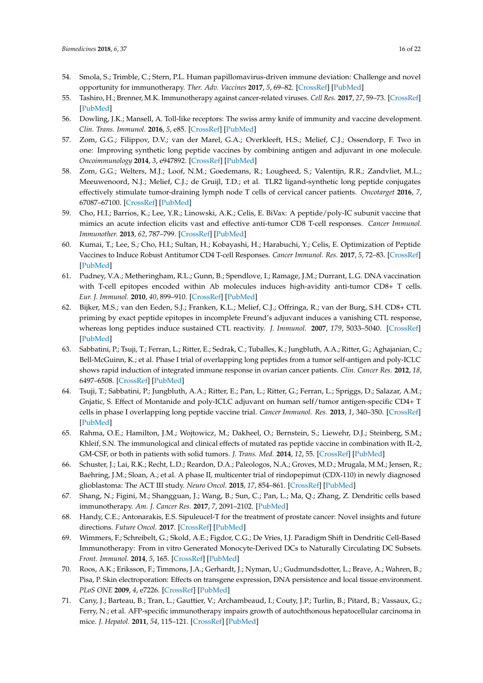- <span id="page-15-0"></span>54. Smola, S.; Trimble, C.; Stern, P.L. Human papillomavirus-driven immune deviation: Challenge and novel opportunity for immunotherapy. *Ther. Adv. Vaccines* **2017**, *5*, 69–82. [\[CrossRef\]](http://dx.doi.org/10.1177/2051013617717914) [\[PubMed\]](http://www.ncbi.nlm.nih.gov/pubmed/28794879)
- <span id="page-15-1"></span>55. Tashiro, H.; Brenner, M.K. Immunotherapy against cancer-related viruses. *Cell Res.* **2017**, *27*, 59–73. [\[CrossRef\]](http://dx.doi.org/10.1038/cr.2016.153) [\[PubMed\]](http://www.ncbi.nlm.nih.gov/pubmed/28008927)
- <span id="page-15-2"></span>56. Dowling, J.K.; Mansell, A. Toll-like receptors: The swiss army knife of immunity and vaccine development. *Clin. Trans. Immunol.* **2016**, *5*, e85. [\[CrossRef\]](http://dx.doi.org/10.1038/cti.2016.22) [\[PubMed\]](http://www.ncbi.nlm.nih.gov/pubmed/27350884)
- <span id="page-15-3"></span>57. Zom, G.G.; Filippov, D.V.; van der Marel, G.A.; Overkleeft, H.S.; Melief, C.J.; Ossendorp, F. Two in one: Improving synthetic long peptide vaccines by combining antigen and adjuvant in one molecule. *Oncoimmunology* **2014**, *3*, e947892. [\[CrossRef\]](http://dx.doi.org/10.4161/21624011.2014.947892) [\[PubMed\]](http://www.ncbi.nlm.nih.gov/pubmed/25610736)
- <span id="page-15-4"></span>58. Zom, G.G.; Welters, M.J.; Loof, N.M.; Goedemans, R.; Lougheed, S.; Valentijn, R.R.; Zandvliet, M.L.; Meeuwenoord, N.J.; Melief, C.J.; de Gruijl, T.D.; et al. TLR2 ligand-synthetic long peptide conjugates effectively stimulate tumor-draining lymph node T cells of cervical cancer patients. *Oncotarget* **2016**, *7*, 67087–67100. [\[CrossRef\]](http://dx.doi.org/10.18632/oncotarget.11512) [\[PubMed\]](http://www.ncbi.nlm.nih.gov/pubmed/27564262)
- <span id="page-15-5"></span>59. Cho, H.I.; Barrios, K.; Lee, Y.R.; Linowski, A.K.; Celis, E. BiVax: A peptide/poly-IC subunit vaccine that mimics an acute infection elicits vast and effective anti-tumor CD8 T-cell responses. *Cancer Immunol. Immunother.* **2013**, *62*, 787–799. [\[CrossRef\]](http://dx.doi.org/10.1007/s00262-012-1382-6) [\[PubMed\]](http://www.ncbi.nlm.nih.gov/pubmed/23266830)
- <span id="page-15-6"></span>60. Kumai, T.; Lee, S.; Cho, H.I.; Sultan, H.; Kobayashi, H.; Harabuchi, Y.; Celis, E. Optimization of Peptide Vaccines to Induce Robust Antitumor CD4 T-cell Responses. *Cancer Immunol. Res.* **2017**, *5*, 72–83. [\[CrossRef\]](http://dx.doi.org/10.1158/2326-6066.CIR-16-0194) [\[PubMed\]](http://www.ncbi.nlm.nih.gov/pubmed/27941004)
- <span id="page-15-7"></span>61. Pudney, V.A.; Metheringham, R.L.; Gunn, B.; Spendlove, I.; Ramage, J.M.; Durrant, L.G. DNA vaccination with T-cell epitopes encoded within Ab molecules induces high-avidity anti-tumor CD8+ T cells. *Eur. J. Immunol.* **2010**, *40*, 899–910. [\[CrossRef\]](http://dx.doi.org/10.1002/eji.200939857) [\[PubMed\]](http://www.ncbi.nlm.nih.gov/pubmed/20039301)
- <span id="page-15-8"></span>62. Bijker, M.S.; van den Eeden, S.J.; Franken, K.L.; Melief, C.J.; Offringa, R.; van der Burg, S.H. CD8+ CTL priming by exact peptide epitopes in incomplete Freund's adjuvant induces a vanishing CTL response, whereas long peptides induce sustained CTL reactivity. *J. Immunol.* **2007**, *179*, 5033–5040. [\[CrossRef\]](http://dx.doi.org/10.4049/jimmunol.179.8.5033) [\[PubMed\]](http://www.ncbi.nlm.nih.gov/pubmed/17911588)
- <span id="page-15-9"></span>63. Sabbatini, P.; Tsuji, T.; Ferran, L.; Ritter, E.; Sedrak, C.; Tuballes, K.; Jungbluth, A.A.; Ritter, G.; Aghajanian, C.; Bell-McGuinn, K.; et al. Phase I trial of overlapping long peptides from a tumor self-antigen and poly-ICLC shows rapid induction of integrated immune response in ovarian cancer patients. *Clin. Cancer Res.* **2012**, *18*, 6497–6508. [\[CrossRef\]](http://dx.doi.org/10.1158/1078-0432.CCR-12-2189) [\[PubMed\]](http://www.ncbi.nlm.nih.gov/pubmed/23032745)
- <span id="page-15-10"></span>64. Tsuji, T.; Sabbatini, P.; Jungbluth, A.A.; Ritter, E.; Pan, L.; Ritter, G.; Ferran, L.; Spriggs, D.; Salazar, A.M.; Gnjatic, S. Effect of Montanide and poly-ICLC adjuvant on human self/tumor antigen-specific CD4+ T cells in phase I overlapping long peptide vaccine trial. *Cancer Immunol. Res.* **2013**, *1*, 340–350. [\[CrossRef\]](http://dx.doi.org/10.1158/2326-6066.CIR-13-0089) [\[PubMed\]](http://www.ncbi.nlm.nih.gov/pubmed/24777970)
- <span id="page-15-11"></span>65. Rahma, O.E.; Hamilton, J.M.; Wojtowicz, M.; Dakheel, O.; Bernstein, S.; Liewehr, D.J.; Steinberg, S.M.; Khleif, S.N. The immunological and clinical effects of mutated ras peptide vaccine in combination with IL-2, GM-CSF, or both in patients with solid tumors. *J. Trans. Med.* **2014**, *12*, 55. [\[CrossRef\]](http://dx.doi.org/10.1186/1479-5876-12-55) [\[PubMed\]](http://www.ncbi.nlm.nih.gov/pubmed/24565030)
- <span id="page-15-12"></span>66. Schuster, J.; Lai, R.K.; Recht, L.D.; Reardon, D.A.; Paleologos, N.A.; Groves, M.D.; Mrugala, M.M.; Jensen, R.; Baehring, J.M.; Sloan, A.; et al. A phase II, multicenter trial of rindopepimut (CDX-110) in newly diagnosed glioblastoma: The ACT III study. *Neuro Oncol.* **2015**, *17*, 854–861. [\[CrossRef\]](http://dx.doi.org/10.1093/neuonc/nou348) [\[PubMed\]](http://www.ncbi.nlm.nih.gov/pubmed/25586468)
- <span id="page-15-13"></span>67. Shang, N.; Figini, M.; Shangguan, J.; Wang, B.; Sun, C.; Pan, L.; Ma, Q.; Zhang, Z. Dendritic cells based immunotherapy. *Am. J. Cancer Res.* **2017**, *7*, 2091–2102. [\[PubMed\]](http://www.ncbi.nlm.nih.gov/pubmed/29119057)
- <span id="page-15-14"></span>68. Handy, C.E.; Antonarakis, E.S. Sipuleucel-T for the treatment of prostate cancer: Novel insights and future directions. *Future Oncol.* **2017**. [\[CrossRef\]](http://dx.doi.org/10.2217/fon-2017-0531) [\[PubMed\]](http://www.ncbi.nlm.nih.gov/pubmed/29260582)
- <span id="page-15-15"></span>69. Wimmers, F.; Schreibelt, G.; Skold, A.E.; Figdor, C.G.; De Vries, I.J. Paradigm Shift in Dendritic Cell-Based Immunotherapy: From in vitro Generated Monocyte-Derived DCs to Naturally Circulating DC Subsets. *Front. Immunol.* **2014**, *5*, 165. [\[CrossRef\]](http://dx.doi.org/10.3389/fimmu.2014.00165) [\[PubMed\]](http://www.ncbi.nlm.nih.gov/pubmed/24782868)
- <span id="page-15-16"></span>70. Roos, A.K.; Eriksson, F.; Timmons, J.A.; Gerhardt, J.; Nyman, U.; Gudmundsdotter, L.; Brave, A.; Wahren, B.; Pisa, P. Skin electroporation: Effects on transgene expression, DNA persistence and local tissue environment. *PLoS ONE* **2009**, *4*, e7226. [\[CrossRef\]](http://dx.doi.org/10.1371/journal.pone.0007226) [\[PubMed\]](http://www.ncbi.nlm.nih.gov/pubmed/19789652)
- 71. Cany, J.; Barteau, B.; Tran, L.; Gauttier, V.; Archambeaud, I.; Couty, J.P.; Turlin, B.; Pitard, B.; Vassaux, G.; Ferry, N.; et al. AFP-specific immunotherapy impairs growth of autochthonous hepatocellular carcinoma in mice. *J. Hepatol.* **2011**, *54*, 115–121. [\[CrossRef\]](http://dx.doi.org/10.1016/j.jhep.2010.06.027) [\[PubMed\]](http://www.ncbi.nlm.nih.gov/pubmed/20961645)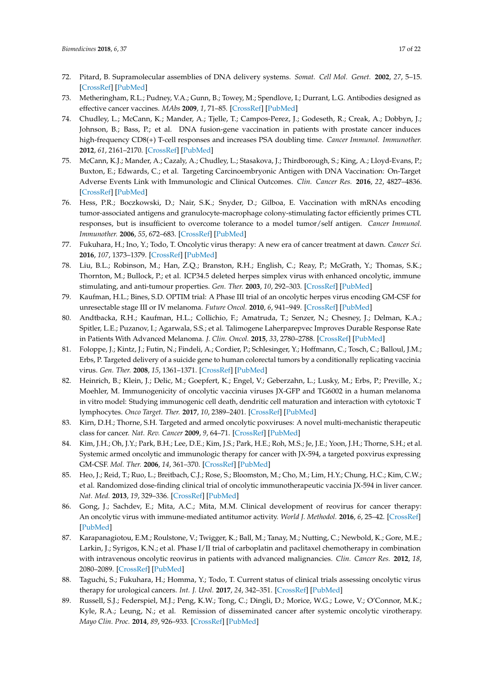- <span id="page-16-0"></span>72. Pitard, B. Supramolecular assemblies of DNA delivery systems. *Somat. Cell Mol. Genet.* **2002**, *27*, 5–15. [\[CrossRef\]](http://dx.doi.org/10.1023/A:1022923721335) [\[PubMed\]](http://www.ncbi.nlm.nih.gov/pubmed/12774937)
- <span id="page-16-1"></span>73. Metheringham, R.L.; Pudney, V.A.; Gunn, B.; Towey, M.; Spendlove, I.; Durrant, L.G. Antibodies designed as effective cancer vaccines. *MAbs* **2009**, *1*, 71–85. [\[CrossRef\]](http://dx.doi.org/10.4161/mabs.1.1.7492) [\[PubMed\]](http://www.ncbi.nlm.nih.gov/pubmed/20046577)
- <span id="page-16-2"></span>74. Chudley, L.; McCann, K.; Mander, A.; Tjelle, T.; Campos-Perez, J.; Godeseth, R.; Creak, A.; Dobbyn, J.; Johnson, B.; Bass, P.; et al. DNA fusion-gene vaccination in patients with prostate cancer induces high-frequency CD8(+) T-cell responses and increases PSA doubling time. *Cancer Immunol. Immunother.* **2012**, *61*, 2161–2170. [\[CrossRef\]](http://dx.doi.org/10.1007/s00262-012-1270-0) [\[PubMed\]](http://www.ncbi.nlm.nih.gov/pubmed/22729556)
- <span id="page-16-3"></span>75. McCann, K.J.; Mander, A.; Cazaly, A.; Chudley, L.; Stasakova, J.; Thirdborough, S.; King, A.; Lloyd-Evans, P.; Buxton, E.; Edwards, C.; et al. Targeting Carcinoembryonic Antigen with DNA Vaccination: On-Target Adverse Events Link with Immunologic and Clinical Outcomes. *Clin. Cancer Res.* **2016**, *22*, 4827–4836. [\[CrossRef\]](http://dx.doi.org/10.1158/1078-0432.CCR-15-2507) [\[PubMed\]](http://www.ncbi.nlm.nih.gov/pubmed/27091407)
- <span id="page-16-4"></span>76. Hess, P.R.; Boczkowski, D.; Nair, S.K.; Snyder, D.; Gilboa, E. Vaccination with mRNAs encoding tumor-associated antigens and granulocyte-macrophage colony-stimulating factor efficiently primes CTL responses, but is insufficient to overcome tolerance to a model tumor/self antigen. *Cancer Immunol. Immunother.* **2006**, *55*, 672–683. [\[CrossRef\]](http://dx.doi.org/10.1007/s00262-005-0064-z) [\[PubMed\]](http://www.ncbi.nlm.nih.gov/pubmed/16133108)
- <span id="page-16-5"></span>77. Fukuhara, H.; Ino, Y.; Todo, T. Oncolytic virus therapy: A new era of cancer treatment at dawn. *Cancer Sci.* **2016**, *107*, 1373–1379. [\[CrossRef\]](http://dx.doi.org/10.1111/cas.13027) [\[PubMed\]](http://www.ncbi.nlm.nih.gov/pubmed/27486853)
- <span id="page-16-6"></span>78. Liu, B.L.; Robinson, M.; Han, Z.Q.; Branston, R.H.; English, C.; Reay, P.; McGrath, Y.; Thomas, S.K.; Thornton, M.; Bullock, P.; et al. ICP34.5 deleted herpes simplex virus with enhanced oncolytic, immune stimulating, and anti-tumour properties. *Gen. Ther.* **2003**, *10*, 292–303. [\[CrossRef\]](http://dx.doi.org/10.1038/sj.gt.3301885) [\[PubMed\]](http://www.ncbi.nlm.nih.gov/pubmed/12595888)
- <span id="page-16-7"></span>79. Kaufman, H.L.; Bines, S.D. OPTIM trial: A Phase III trial of an oncolytic herpes virus encoding GM-CSF for unresectable stage III or IV melanoma. *Future Oncol.* **2010**, *6*, 941–949. [\[CrossRef\]](http://dx.doi.org/10.2217/fon.10.66) [\[PubMed\]](http://www.ncbi.nlm.nih.gov/pubmed/20528232)
- <span id="page-16-8"></span>80. Andtbacka, R.H.; Kaufman, H.L.; Collichio, F.; Amatruda, T.; Senzer, N.; Chesney, J.; Delman, K.A.; Spitler, L.E.; Puzanov, I.; Agarwala, S.S.; et al. Talimogene Laherparepvec Improves Durable Response Rate in Patients With Advanced Melanoma. *J. Clin. Oncol.* **2015**, *33*, 2780–2788. [\[CrossRef\]](http://dx.doi.org/10.1200/JCO.2014.58.3377) [\[PubMed\]](http://www.ncbi.nlm.nih.gov/pubmed/26014293)
- <span id="page-16-9"></span>81. Foloppe, J.; Kintz, J.; Futin, N.; Findeli, A.; Cordier, P.; Schlesinger, Y.; Hoffmann, C.; Tosch, C.; Balloul, J.M.; Erbs, P. Targeted delivery of a suicide gene to human colorectal tumors by a conditionally replicating vaccinia virus. *Gen. Ther.* **2008**, *15*, 1361–1371. [\[CrossRef\]](http://dx.doi.org/10.1038/gt.2008.82) [\[PubMed\]](http://www.ncbi.nlm.nih.gov/pubmed/18480846)
- <span id="page-16-10"></span>82. Heinrich, B.; Klein, J.; Delic, M.; Goepfert, K.; Engel, V.; Geberzahn, L.; Lusky, M.; Erbs, P.; Preville, X.; Moehler, M. Immunogenicity of oncolytic vaccinia viruses JX-GFP and TG6002 in a human melanoma in vitro model: Studying immunogenic cell death, dendritic cell maturation and interaction with cytotoxic T lymphocytes. *Onco Target. Ther.* **2017**, *10*, 2389–2401. [\[CrossRef\]](http://dx.doi.org/10.2147/OTT.S126320) [\[PubMed\]](http://www.ncbi.nlm.nih.gov/pubmed/28496337)
- <span id="page-16-11"></span>83. Kirn, D.H.; Thorne, S.H. Targeted and armed oncolytic poxviruses: A novel multi-mechanistic therapeutic class for cancer. *Nat. Rev. Cancer* **2009**, *9*, 64–71. [\[CrossRef\]](http://dx.doi.org/10.1038/nrc2545) [\[PubMed\]](http://www.ncbi.nlm.nih.gov/pubmed/19104515)
- <span id="page-16-12"></span>84. Kim, J.H.; Oh, J.Y.; Park, B.H.; Lee, D.E.; Kim, J.S.; Park, H.E.; Roh, M.S.; Je, J.E.; Yoon, J.H.; Thorne, S.H.; et al. Systemic armed oncolytic and immunologic therapy for cancer with JX-594, a targeted poxvirus expressing GM-CSF. *Mol. Ther.* **2006**, *14*, 361–370. [\[CrossRef\]](http://dx.doi.org/10.1016/j.ymthe.2006.05.008) [\[PubMed\]](http://www.ncbi.nlm.nih.gov/pubmed/16905462)
- <span id="page-16-13"></span>85. Heo, J.; Reid, T.; Ruo, L.; Breitbach, C.J.; Rose, S.; Bloomston, M.; Cho, M.; Lim, H.Y.; Chung, H.C.; Kim, C.W.; et al. Randomized dose-finding clinical trial of oncolytic immunotherapeutic vaccinia JX-594 in liver cancer. *Nat. Med.* **2013**, *19*, 329–336. [\[CrossRef\]](http://dx.doi.org/10.1038/nm.3089) [\[PubMed\]](http://www.ncbi.nlm.nih.gov/pubmed/23396206)
- <span id="page-16-14"></span>86. Gong, J.; Sachdev, E.; Mita, A.C.; Mita, M.M. Clinical development of reovirus for cancer therapy: An oncolytic virus with immune-mediated antitumor activity. *World J. Methodol.* **2016**, *6*, 25–42. [\[CrossRef\]](http://dx.doi.org/10.5662/wjm.v6.i1.25) [\[PubMed\]](http://www.ncbi.nlm.nih.gov/pubmed/27019795)
- <span id="page-16-15"></span>87. Karapanagiotou, E.M.; Roulstone, V.; Twigger, K.; Ball, M.; Tanay, M.; Nutting, C.; Newbold, K.; Gore, M.E.; Larkin, J.; Syrigos, K.N.; et al. Phase I/II trial of carboplatin and paclitaxel chemotherapy in combination with intravenous oncolytic reovirus in patients with advanced malignancies. *Clin. Cancer Res.* **2012**, *18*, 2080–2089. [\[CrossRef\]](http://dx.doi.org/10.1158/1078-0432.CCR-11-2181) [\[PubMed\]](http://www.ncbi.nlm.nih.gov/pubmed/22316603)
- <span id="page-16-16"></span>88. Taguchi, S.; Fukuhara, H.; Homma, Y.; Todo, T. Current status of clinical trials assessing oncolytic virus therapy for urological cancers. *Int. J. Urol.* **2017**, *24*, 342–351. [\[CrossRef\]](http://dx.doi.org/10.1111/iju.13325) [\[PubMed\]](http://www.ncbi.nlm.nih.gov/pubmed/28326624)
- <span id="page-16-17"></span>89. Russell, S.J.; Federspiel, M.J.; Peng, K.W.; Tong, C.; Dingli, D.; Morice, W.G.; Lowe, V.; O'Connor, M.K.; Kyle, R.A.; Leung, N.; et al. Remission of disseminated cancer after systemic oncolytic virotherapy. *Mayo Clin. Proc.* **2014**, *89*, 926–933. [\[CrossRef\]](http://dx.doi.org/10.1016/j.mayocp.2014.04.003) [\[PubMed\]](http://www.ncbi.nlm.nih.gov/pubmed/24835528)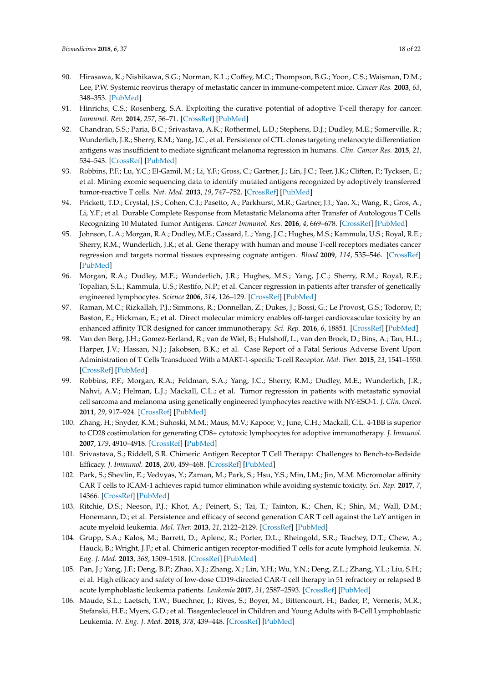- <span id="page-17-0"></span>90. Hirasawa, K.; Nishikawa, S.G.; Norman, K.L.; Coffey, M.C.; Thompson, B.G.; Yoon, C.S.; Waisman, D.M.; Lee, P.W. Systemic reovirus therapy of metastatic cancer in immune-competent mice. *Cancer Res.* **2003**, *63*, 348–353. [\[PubMed\]](http://www.ncbi.nlm.nih.gov/pubmed/12543787)
- <span id="page-17-1"></span>91. Hinrichs, C.S.; Rosenberg, S.A. Exploiting the curative potential of adoptive T-cell therapy for cancer. *Immunol. Rev.* **2014**, *257*, 56–71. [\[CrossRef\]](http://dx.doi.org/10.1111/imr.12132) [\[PubMed\]](http://www.ncbi.nlm.nih.gov/pubmed/24329789)
- <span id="page-17-2"></span>92. Chandran, S.S.; Paria, B.C.; Srivastava, A.K.; Rothermel, L.D.; Stephens, D.J.; Dudley, M.E.; Somerville, R.; Wunderlich, J.R.; Sherry, R.M.; Yang, J.C.; et al. Persistence of CTL clones targeting melanocyte differentiation antigens was insufficient to mediate significant melanoma regression in humans. *Clin. Cancer Res.* **2015**, *21*, 534–543. [\[CrossRef\]](http://dx.doi.org/10.1158/1078-0432.CCR-14-2208) [\[PubMed\]](http://www.ncbi.nlm.nih.gov/pubmed/25424856)
- <span id="page-17-3"></span>93. Robbins, P.F.; Lu, Y.C.; El-Gamil, M.; Li, Y.F.; Gross, C.; Gartner, J.; Lin, J.C.; Teer, J.K.; Cliften, P.; Tycksen, E.; et al. Mining exomic sequencing data to identify mutated antigens recognized by adoptively transferred tumor-reactive T cells. *Nat. Med.* **2013**, *19*, 747–752. [\[CrossRef\]](http://dx.doi.org/10.1038/nm.3161) [\[PubMed\]](http://www.ncbi.nlm.nih.gov/pubmed/23644516)
- <span id="page-17-4"></span>94. Prickett, T.D.; Crystal, J.S.; Cohen, C.J.; Pasetto, A.; Parkhurst, M.R.; Gartner, J.J.; Yao, X.; Wang, R.; Gros, A.; Li, Y.F.; et al. Durable Complete Response from Metastatic Melanoma after Transfer of Autologous T Cells Recognizing 10 Mutated Tumor Antigens. *Cancer Immunol. Res.* **2016**, *4*, 669–678. [\[CrossRef\]](http://dx.doi.org/10.1158/2326-6066.CIR-15-0215) [\[PubMed\]](http://www.ncbi.nlm.nih.gov/pubmed/27312342)
- <span id="page-17-5"></span>95. Johnson, L.A.; Morgan, R.A.; Dudley, M.E.; Cassard, L.; Yang, J.C.; Hughes, M.S.; Kammula, U.S.; Royal, R.E.; Sherry, R.M.; Wunderlich, J.R.; et al. Gene therapy with human and mouse T-cell receptors mediates cancer regression and targets normal tissues expressing cognate antigen. *Blood* **2009**, *114*, 535–546. [\[CrossRef\]](http://dx.doi.org/10.1182/blood-2009-03-211714) [\[PubMed\]](http://www.ncbi.nlm.nih.gov/pubmed/19451549)
- <span id="page-17-6"></span>96. Morgan, R.A.; Dudley, M.E.; Wunderlich, J.R.; Hughes, M.S.; Yang, J.C.; Sherry, R.M.; Royal, R.E.; Topalian, S.L.; Kammula, U.S.; Restifo, N.P.; et al. Cancer regression in patients after transfer of genetically engineered lymphocytes. *Science* **2006**, *314*, 126–129. [\[CrossRef\]](http://dx.doi.org/10.1126/science.1129003) [\[PubMed\]](http://www.ncbi.nlm.nih.gov/pubmed/16946036)
- <span id="page-17-7"></span>97. Raman, M.C.; Rizkallah, P.J.; Simmons, R.; Donnellan, Z.; Dukes, J.; Bossi, G.; Le Provost, G.S.; Todorov, P.; Baston, E.; Hickman, E.; et al. Direct molecular mimicry enables off-target cardiovascular toxicity by an enhanced affinity TCR designed for cancer immunotherapy. *Sci. Rep.* **2016**, *6*, 18851. [\[CrossRef\]](http://dx.doi.org/10.1038/srep18851) [\[PubMed\]](http://www.ncbi.nlm.nih.gov/pubmed/26758806)
- <span id="page-17-8"></span>98. Van den Berg, J.H.; Gomez-Eerland, R.; van de Wiel, B.; Hulshoff, L.; van den Broek, D.; Bins, A.; Tan, H.L.; Harper, J.V.; Hassan, N.J.; Jakobsen, B.K.; et al. Case Report of a Fatal Serious Adverse Event Upon Administration of T Cells Transduced With a MART-1-specific T-cell Receptor. *Mol. Ther.* **2015**, *23*, 1541–1550. [\[CrossRef\]](http://dx.doi.org/10.1038/mt.2015.60) [\[PubMed\]](http://www.ncbi.nlm.nih.gov/pubmed/25896248)
- <span id="page-17-9"></span>99. Robbins, P.F.; Morgan, R.A.; Feldman, S.A.; Yang, J.C.; Sherry, R.M.; Dudley, M.E.; Wunderlich, J.R.; Nahvi, A.V.; Helman, L.J.; Mackall, C.L.; et al. Tumor regression in patients with metastatic synovial cell sarcoma and melanoma using genetically engineered lymphocytes reactive with NY-ESO-1. *J. Clin. Oncol.* **2011**, *29*, 917–924. [\[CrossRef\]](http://dx.doi.org/10.1200/JCO.2010.32.2537) [\[PubMed\]](http://www.ncbi.nlm.nih.gov/pubmed/21282551)
- <span id="page-17-10"></span>100. Zhang, H.; Snyder, K.M.; Suhoski, M.M.; Maus, M.V.; Kapoor, V.; June, C.H.; Mackall, C.L. 4-1BB is superior to CD28 costimulation for generating CD8+ cytotoxic lymphocytes for adoptive immunotherapy. *J. Immunol.* **2007**, *179*, 4910–4918. [\[CrossRef\]](http://dx.doi.org/10.4049/jimmunol.179.7.4910) [\[PubMed\]](http://www.ncbi.nlm.nih.gov/pubmed/17878391)
- <span id="page-17-11"></span>101. Srivastava, S.; Riddell, S.R. Chimeric Antigen Receptor T Cell Therapy: Challenges to Bench-to-Bedside Efficacy. *J. Immunol.* **2018**, *200*, 459–468. [\[CrossRef\]](http://dx.doi.org/10.4049/jimmunol.1701155) [\[PubMed\]](http://www.ncbi.nlm.nih.gov/pubmed/29311388)
- <span id="page-17-12"></span>102. Park, S.; Shevlin, E.; Vedvyas, Y.; Zaman, M.; Park, S.; Hsu, Y.S.; Min, I.M.; Jin, M.M. Micromolar affinity CAR T cells to ICAM-1 achieves rapid tumor elimination while avoiding systemic toxicity. *Sci. Rep.* **2017**, *7*, 14366. [\[CrossRef\]](http://dx.doi.org/10.1038/s41598-017-14749-3) [\[PubMed\]](http://www.ncbi.nlm.nih.gov/pubmed/29085043)
- <span id="page-17-13"></span>103. Ritchie, D.S.; Neeson, P.J.; Khot, A.; Peinert, S.; Tai, T.; Tainton, K.; Chen, K.; Shin, M.; Wall, D.M.; Honemann, D.; et al. Persistence and efficacy of second generation CAR T cell against the LeY antigen in acute myeloid leukemia. *Mol. Ther.* **2013**, *21*, 2122–2129. [\[CrossRef\]](http://dx.doi.org/10.1038/mt.2013.154) [\[PubMed\]](http://www.ncbi.nlm.nih.gov/pubmed/23831595)
- <span id="page-17-14"></span>104. Grupp, S.A.; Kalos, M.; Barrett, D.; Aplenc, R.; Porter, D.L.; Rheingold, S.R.; Teachey, D.T.; Chew, A.; Hauck, B.; Wright, J.F.; et al. Chimeric antigen receptor-modified T cells for acute lymphoid leukemia. *N. Eng. J. Med.* **2013**, *368*, 1509–1518. [\[CrossRef\]](http://dx.doi.org/10.1056/NEJMoa1215134) [\[PubMed\]](http://www.ncbi.nlm.nih.gov/pubmed/23527958)
- <span id="page-17-15"></span>105. Pan, J.; Yang, J.F.; Deng, B.P.; Zhao, X.J.; Zhang, X.; Lin, Y.H.; Wu, Y.N.; Deng, Z.L.; Zhang, Y.L.; Liu, S.H.; et al. High efficacy and safety of low-dose CD19-directed CAR-T cell therapy in 51 refractory or relapsed B acute lymphoblastic leukemia patients. *Leukemia* **2017**, *31*, 2587–2593. [\[CrossRef\]](http://dx.doi.org/10.1038/leu.2017.145) [\[PubMed\]](http://www.ncbi.nlm.nih.gov/pubmed/28490811)
- <span id="page-17-16"></span>106. Maude, S.L.; Laetsch, T.W.; Buechner, J.; Rives, S.; Boyer, M.; Bittencourt, H.; Bader, P.; Verneris, M.R.; Stefanski, H.E.; Myers, G.D.; et al. Tisagenlecleucel in Children and Young Adults with B-Cell Lymphoblastic Leukemia. *N. Eng. J. Med.* **2018**, *378*, 439–448. [\[CrossRef\]](http://dx.doi.org/10.1056/NEJMoa1709866) [\[PubMed\]](http://www.ncbi.nlm.nih.gov/pubmed/29385370)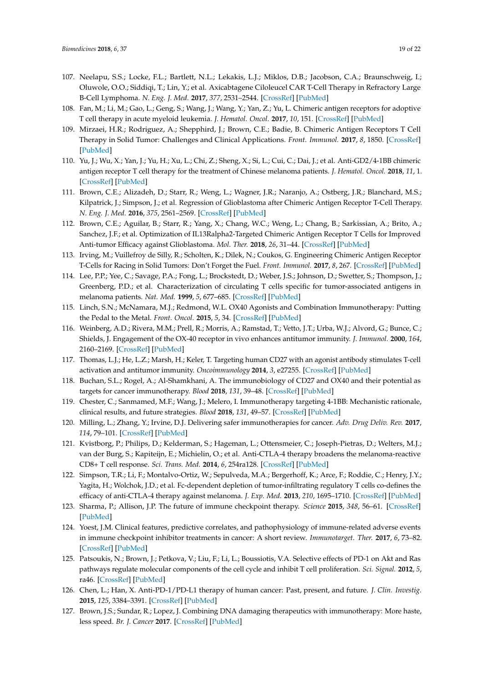- <span id="page-18-0"></span>107. Neelapu, S.S.; Locke, F.L.; Bartlett, N.L.; Lekakis, L.J.; Miklos, D.B.; Jacobson, C.A.; Braunschweig, I.; Oluwole, O.O.; Siddiqi, T.; Lin, Y.; et al. Axicabtagene Ciloleucel CAR T-Cell Therapy in Refractory Large B-Cell Lymphoma. *N. Eng. J. Med.* **2017**, *377*, 2531–2544. [\[CrossRef\]](http://dx.doi.org/10.1056/NEJMoa1707447) [\[PubMed\]](http://www.ncbi.nlm.nih.gov/pubmed/29226797)
- <span id="page-18-1"></span>108. Fan, M.; Li, M.; Gao, L.; Geng, S.; Wang, J.; Wang, Y.; Yan, Z.; Yu, L. Chimeric antigen receptors for adoptive T cell therapy in acute myeloid leukemia. *J. Hematol. Oncol.* **2017**, *10*, 151. [\[CrossRef\]](http://dx.doi.org/10.1186/s13045-017-0519-7) [\[PubMed\]](http://www.ncbi.nlm.nih.gov/pubmed/28851445)
- <span id="page-18-2"></span>109. Mirzaei, H.R.; Rodriguez, A.; Shepphird, J.; Brown, C.E.; Badie, B. Chimeric Antigen Receptors T Cell Therapy in Solid Tumor: Challenges and Clinical Applications. *Front. Immunol.* **2017**, *8*, 1850. [\[CrossRef\]](http://dx.doi.org/10.3389/fimmu.2017.01850) [\[PubMed\]](http://www.ncbi.nlm.nih.gov/pubmed/29312333)
- <span id="page-18-3"></span>110. Yu, J.; Wu, X.; Yan, J.; Yu, H.; Xu, L.; Chi, Z.; Sheng, X.; Si, L.; Cui, C.; Dai, J.; et al. Anti-GD2/4-1BB chimeric antigen receptor T cell therapy for the treatment of Chinese melanoma patients. *J. Hematol. Oncol.* **2018**, *11*, 1. [\[CrossRef\]](http://dx.doi.org/10.1186/s13045-017-0548-2) [\[PubMed\]](http://www.ncbi.nlm.nih.gov/pubmed/29298689)
- <span id="page-18-4"></span>111. Brown, C.E.; Alizadeh, D.; Starr, R.; Weng, L.; Wagner, J.R.; Naranjo, A.; Ostberg, J.R.; Blanchard, M.S.; Kilpatrick, J.; Simpson, J.; et al. Regression of Glioblastoma after Chimeric Antigen Receptor T-Cell Therapy. *N. Eng. J. Med.* **2016**, *375*, 2561–2569. [\[CrossRef\]](http://dx.doi.org/10.1056/NEJMoa1610497) [\[PubMed\]](http://www.ncbi.nlm.nih.gov/pubmed/28029927)
- <span id="page-18-5"></span>112. Brown, C.E.; Aguilar, B.; Starr, R.; Yang, X.; Chang, W.C.; Weng, L.; Chang, B.; Sarkissian, A.; Brito, A.; Sanchez, J.F.; et al. Optimization of IL13Ralpha2-Targeted Chimeric Antigen Receptor T Cells for Improved Anti-tumor Efficacy against Glioblastoma. *Mol. Ther.* **2018**, *26*, 31–44. [\[CrossRef\]](http://dx.doi.org/10.1016/j.ymthe.2017.10.002) [\[PubMed\]](http://www.ncbi.nlm.nih.gov/pubmed/29103912)
- <span id="page-18-6"></span>113. Irving, M.; Vuillefroy de Silly, R.; Scholten, K.; Dilek, N.; Coukos, G. Engineering Chimeric Antigen Receptor T-Cells for Racing in Solid Tumors: Don't Forget the Fuel. *Front. Immunol.* **2017**, *8*, 267. [\[CrossRef\]](http://dx.doi.org/10.3389/fimmu.2017.00267) [\[PubMed\]](http://www.ncbi.nlm.nih.gov/pubmed/28421069)
- <span id="page-18-7"></span>114. Lee, P.P.; Yee, C.; Savage, P.A.; Fong, L.; Brockstedt, D.; Weber, J.S.; Johnson, D.; Swetter, S.; Thompson, J.; Greenberg, P.D.; et al. Characterization of circulating T cells specific for tumor-associated antigens in melanoma patients. *Nat. Med.* **1999**, *5*, 677–685. [\[CrossRef\]](http://dx.doi.org/10.1038/9525) [\[PubMed\]](http://www.ncbi.nlm.nih.gov/pubmed/10371507)
- <span id="page-18-8"></span>115. Linch, S.N.; McNamara, M.J.; Redmond, W.L. OX40 Agonists and Combination Immunotherapy: Putting the Pedal to the Metal. *Front. Oncol.* **2015**, *5*, 34. [\[CrossRef\]](http://dx.doi.org/10.3389/fonc.2015.00034) [\[PubMed\]](http://www.ncbi.nlm.nih.gov/pubmed/25763356)
- <span id="page-18-9"></span>116. Weinberg, A.D.; Rivera, M.M.; Prell, R.; Morris, A.; Ramstad, T.; Vetto, J.T.; Urba, W.J.; Alvord, G.; Bunce, C.; Shields, J. Engagement of the OX-40 receptor in vivo enhances antitumor immunity. *J. Immunol.* **2000**, *164*, 2160–2169. [\[CrossRef\]](http://dx.doi.org/10.4049/jimmunol.164.4.2160) [\[PubMed\]](http://www.ncbi.nlm.nih.gov/pubmed/10657670)
- <span id="page-18-10"></span>117. Thomas, L.J.; He, L.Z.; Marsh, H.; Keler, T. Targeting human CD27 with an agonist antibody stimulates T-cell activation and antitumor immunity. *Oncoimmunology* **2014**, *3*, e27255. [\[CrossRef\]](http://dx.doi.org/10.4161/onci.27255) [\[PubMed\]](http://www.ncbi.nlm.nih.gov/pubmed/24605266)
- <span id="page-18-11"></span>118. Buchan, S.L.; Rogel, A.; Al-Shamkhani, A. The immunobiology of CD27 and OX40 and their potential as targets for cancer immunotherapy. *Blood* **2018**, *131*, 39–48. [\[CrossRef\]](http://dx.doi.org/10.1182/blood-2017-07-741025) [\[PubMed\]](http://www.ncbi.nlm.nih.gov/pubmed/29118006)
- <span id="page-18-12"></span>119. Chester, C.; Sanmamed, M.F.; Wang, J.; Melero, I. Immunotherapy targeting 4-1BB: Mechanistic rationale, clinical results, and future strategies. *Blood* **2018**, *131*, 49–57. [\[CrossRef\]](http://dx.doi.org/10.1182/blood-2017-06-741041) [\[PubMed\]](http://www.ncbi.nlm.nih.gov/pubmed/29118009)
- <span id="page-18-13"></span>120. Milling, L.; Zhang, Y.; Irvine, D.J. Delivering safer immunotherapies for cancer. *Adv. Drug Deliv. Rev.* **2017**, *114*, 79–101. [\[CrossRef\]](http://dx.doi.org/10.1016/j.addr.2017.05.011) [\[PubMed\]](http://www.ncbi.nlm.nih.gov/pubmed/28545888)
- <span id="page-18-14"></span>121. Kvistborg, P.; Philips, D.; Kelderman, S.; Hageman, L.; Ottensmeier, C.; Joseph-Pietras, D.; Welters, M.J.; van der Burg, S.; Kapiteijn, E.; Michielin, O.; et al. Anti-CTLA-4 therapy broadens the melanoma-reactive CD8+ T cell response. *Sci. Trans. Med.* **2014**, *6*, 254ra128. [\[CrossRef\]](http://dx.doi.org/10.1126/scitranslmed.3008918) [\[PubMed\]](http://www.ncbi.nlm.nih.gov/pubmed/25232180)
- <span id="page-18-15"></span>122. Simpson, T.R.; Li, F.; Montalvo-Ortiz, W.; Sepulveda, M.A.; Bergerhoff, K.; Arce, F.; Roddie, C.; Henry, J.Y.; Yagita, H.; Wolchok, J.D.; et al. Fc-dependent depletion of tumor-infiltrating regulatory T cells co-defines the efficacy of anti-CTLA-4 therapy against melanoma. *J. Exp. Med.* **2013**, *210*, 1695–1710. [\[CrossRef\]](http://dx.doi.org/10.1084/jem.20130579) [\[PubMed\]](http://www.ncbi.nlm.nih.gov/pubmed/23897981)
- <span id="page-18-16"></span>123. Sharma, P.; Allison, J.P. The future of immune checkpoint therapy. *Science* **2015**, *348*, 56–61. [\[CrossRef\]](http://dx.doi.org/10.1126/science.aaa8172) [\[PubMed\]](http://www.ncbi.nlm.nih.gov/pubmed/25838373)
- <span id="page-18-17"></span>124. Yoest, J.M. Clinical features, predictive correlates, and pathophysiology of immune-related adverse events in immune checkpoint inhibitor treatments in cancer: A short review. *Immunotarget. Ther.* **2017**, *6*, 73–82. [\[CrossRef\]](http://dx.doi.org/10.2147/ITT.S126227) [\[PubMed\]](http://www.ncbi.nlm.nih.gov/pubmed/29067284)
- <span id="page-18-18"></span>125. Patsoukis, N.; Brown, J.; Petkova, V.; Liu, F.; Li, L.; Boussiotis, V.A. Selective effects of PD-1 on Akt and Ras pathways regulate molecular components of the cell cycle and inhibit T cell proliferation. *Sci. Signal.* **2012**, *5*, ra46. [\[CrossRef\]](http://dx.doi.org/10.1126/scisignal.2002796) [\[PubMed\]](http://www.ncbi.nlm.nih.gov/pubmed/22740686)
- <span id="page-18-19"></span>126. Chen, L.; Han, X. Anti-PD-1/PD-L1 therapy of human cancer: Past, present, and future. *J. Clin. Investig.* **2015**, *125*, 3384–3391. [\[CrossRef\]](http://dx.doi.org/10.1172/JCI80011) [\[PubMed\]](http://www.ncbi.nlm.nih.gov/pubmed/26325035)
- <span id="page-18-20"></span>127. Brown, J.S.; Sundar, R.; Lopez, J. Combining DNA damaging therapeutics with immunotherapy: More haste, less speed. *Br. J. Cancer* **2017**. [\[CrossRef\]](http://dx.doi.org/10.1038/bjc.2017.376) [\[PubMed\]](http://www.ncbi.nlm.nih.gov/pubmed/29123260)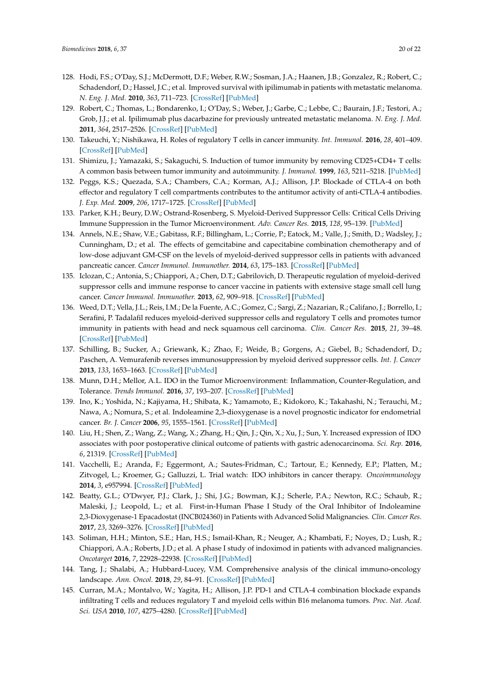- <span id="page-19-0"></span>128. Hodi, F.S.; O'Day, S.J.; McDermott, D.F.; Weber, R.W.; Sosman, J.A.; Haanen, J.B.; Gonzalez, R.; Robert, C.; Schadendorf, D.; Hassel, J.C.; et al. Improved survival with ipilimumab in patients with metastatic melanoma. *N. Eng. J. Med.* **2010**, *363*, 711–723. [\[CrossRef\]](http://dx.doi.org/10.1056/NEJMoa1003466) [\[PubMed\]](http://www.ncbi.nlm.nih.gov/pubmed/20525992)
- <span id="page-19-1"></span>129. Robert, C.; Thomas, L.; Bondarenko, I.; O'Day, S.; Weber, J.; Garbe, C.; Lebbe, C.; Baurain, J.F.; Testori, A.; Grob, J.J.; et al. Ipilimumab plus dacarbazine for previously untreated metastatic melanoma. *N. Eng. J. Med.* **2011**, *364*, 2517–2526. [\[CrossRef\]](http://dx.doi.org/10.1056/NEJMoa1104621) [\[PubMed\]](http://www.ncbi.nlm.nih.gov/pubmed/21639810)
- <span id="page-19-2"></span>130. Takeuchi, Y.; Nishikawa, H. Roles of regulatory T cells in cancer immunity. *Int. Immunol.* **2016**, *28*, 401–409. [\[CrossRef\]](http://dx.doi.org/10.1093/intimm/dxw025) [\[PubMed\]](http://www.ncbi.nlm.nih.gov/pubmed/27160722)
- <span id="page-19-3"></span>131. Shimizu, J.; Yamazaki, S.; Sakaguchi, S. Induction of tumor immunity by removing CD25+CD4+ T cells: A common basis between tumor immunity and autoimmunity. *J. Immunol.* **1999**, *163*, 5211–5218. [\[PubMed\]](http://www.ncbi.nlm.nih.gov/pubmed/10553041)
- <span id="page-19-4"></span>132. Peggs, K.S.; Quezada, S.A.; Chambers, C.A.; Korman, A.J.; Allison, J.P. Blockade of CTLA-4 on both effector and regulatory T cell compartments contributes to the antitumor activity of anti-CTLA-4 antibodies. *J. Exp. Med.* **2009**, *206*, 1717–1725. [\[CrossRef\]](http://dx.doi.org/10.1084/jem.20082492) [\[PubMed\]](http://www.ncbi.nlm.nih.gov/pubmed/19581407)
- <span id="page-19-5"></span>133. Parker, K.H.; Beury, D.W.; Ostrand-Rosenberg, S. Myeloid-Derived Suppressor Cells: Critical Cells Driving Immune Suppression in the Tumor Microenvironment. *Adv. Cancer Res.* **2015**, *128*, 95–139. [\[PubMed\]](http://www.ncbi.nlm.nih.gov/pubmed/26216631)
- <span id="page-19-6"></span>134. Annels, N.E.; Shaw, V.E.; Gabitass, R.F.; Billingham, L.; Corrie, P.; Eatock, M.; Valle, J.; Smith, D.; Wadsley, J.; Cunningham, D.; et al. The effects of gemcitabine and capecitabine combination chemotherapy and of low-dose adjuvant GM-CSF on the levels of myeloid-derived suppressor cells in patients with advanced pancreatic cancer. *Cancer Immunol. Immunother.* **2014**, *63*, 175–183. [\[CrossRef\]](http://dx.doi.org/10.1007/s00262-013-1502-y) [\[PubMed\]](http://www.ncbi.nlm.nih.gov/pubmed/24292263)
- 135. Iclozan, C.; Antonia, S.; Chiappori, A.; Chen, D.T.; Gabrilovich, D. Therapeutic regulation of myeloid-derived suppressor cells and immune response to cancer vaccine in patients with extensive stage small cell lung cancer. *Cancer Immunol. Immunother.* **2013**, *62*, 909–918. [\[CrossRef\]](http://dx.doi.org/10.1007/s00262-013-1396-8) [\[PubMed\]](http://www.ncbi.nlm.nih.gov/pubmed/23589106)
- 136. Weed, D.T.; Vella, J.L.; Reis, I.M.; De la Fuente, A.C.; Gomez, C.; Sargi, Z.; Nazarian, R.; Califano, J.; Borrello, I.; Serafini, P. Tadalafil reduces myeloid-derived suppressor cells and regulatory T cells and promotes tumor immunity in patients with head and neck squamous cell carcinoma. *Clin. Cancer Res.* **2015**, *21*, 39–48. [\[CrossRef\]](http://dx.doi.org/10.1158/1078-0432.CCR-14-1711) [\[PubMed\]](http://www.ncbi.nlm.nih.gov/pubmed/25320361)
- <span id="page-19-7"></span>137. Schilling, B.; Sucker, A.; Griewank, K.; Zhao, F.; Weide, B.; Gorgens, A.; Giebel, B.; Schadendorf, D.; Paschen, A. Vemurafenib reverses immunosuppression by myeloid derived suppressor cells. *Int. J. Cancer* **2013**, *133*, 1653–1663. [\[CrossRef\]](http://dx.doi.org/10.1002/ijc.28168) [\[PubMed\]](http://www.ncbi.nlm.nih.gov/pubmed/23526263)
- <span id="page-19-8"></span>138. Munn, D.H.; Mellor, A.L. IDO in the Tumor Microenvironment: Inflammation, Counter-Regulation, and Tolerance. *Trends Immunol.* **2016**, *37*, 193–207. [\[CrossRef\]](http://dx.doi.org/10.1016/j.it.2016.01.002) [\[PubMed\]](http://www.ncbi.nlm.nih.gov/pubmed/26839260)
- <span id="page-19-9"></span>139. Ino, K.; Yoshida, N.; Kajiyama, H.; Shibata, K.; Yamamoto, E.; Kidokoro, K.; Takahashi, N.; Terauchi, M.; Nawa, A.; Nomura, S.; et al. Indoleamine 2,3-dioxygenase is a novel prognostic indicator for endometrial cancer. *Br. J. Cancer* **2006**, *95*, 1555–1561. [\[CrossRef\]](http://dx.doi.org/10.1038/sj.bjc.6603477) [\[PubMed\]](http://www.ncbi.nlm.nih.gov/pubmed/17117179)
- <span id="page-19-10"></span>140. Liu, H.; Shen, Z.; Wang, Z.; Wang, X.; Zhang, H.; Qin, J.; Qin, X.; Xu, J.; Sun, Y. Increased expression of IDO associates with poor postoperative clinical outcome of patients with gastric adenocarcinoma. *Sci. Rep.* **2016**, *6*, 21319. [\[CrossRef\]](http://dx.doi.org/10.1038/srep21319) [\[PubMed\]](http://www.ncbi.nlm.nih.gov/pubmed/26887337)
- <span id="page-19-11"></span>141. Vacchelli, E.; Aranda, F.; Eggermont, A.; Sautes-Fridman, C.; Tartour, E.; Kennedy, E.P.; Platten, M.; Zitvogel, L.; Kroemer, G.; Galluzzi, L. Trial watch: IDO inhibitors in cancer therapy. *Oncoimmunology* **2014**, *3*, e957994. [\[CrossRef\]](http://dx.doi.org/10.4161/21624011.2014.957994) [\[PubMed\]](http://www.ncbi.nlm.nih.gov/pubmed/25941578)
- <span id="page-19-12"></span>142. Beatty, G.L.; O'Dwyer, P.J.; Clark, J.; Shi, J.G.; Bowman, K.J.; Scherle, P.A.; Newton, R.C.; Schaub, R.; Maleski, J.; Leopold, L.; et al. First-in-Human Phase I Study of the Oral Inhibitor of Indoleamine 2,3-Dioxygenase-1 Epacadostat (INCB024360) in Patients with Advanced Solid Malignancies. *Clin. Cancer Res.* **2017**, *23*, 3269–3276. [\[CrossRef\]](http://dx.doi.org/10.1158/1078-0432.CCR-16-2272) [\[PubMed\]](http://www.ncbi.nlm.nih.gov/pubmed/28053021)
- <span id="page-19-13"></span>143. Soliman, H.H.; Minton, S.E.; Han, H.S.; Ismail-Khan, R.; Neuger, A.; Khambati, F.; Noyes, D.; Lush, R.; Chiappori, A.A.; Roberts, J.D.; et al. A phase I study of indoximod in patients with advanced malignancies. *Oncotarget* **2016**, *7*, 22928–22938. [\[CrossRef\]](http://dx.doi.org/10.18632/oncotarget.8216) [\[PubMed\]](http://www.ncbi.nlm.nih.gov/pubmed/27008709)
- <span id="page-19-14"></span>144. Tang, J.; Shalabi, A.; Hubbard-Lucey, V.M. Comprehensive analysis of the clinical immuno-oncology landscape. *Ann. Oncol.* **2018**, *29*, 84–91. [\[CrossRef\]](http://dx.doi.org/10.1093/annonc/mdx755) [\[PubMed\]](http://www.ncbi.nlm.nih.gov/pubmed/29228097)
- <span id="page-19-15"></span>145. Curran, M.A.; Montalvo, W.; Yagita, H.; Allison, J.P. PD-1 and CTLA-4 combination blockade expands infiltrating T cells and reduces regulatory T and myeloid cells within B16 melanoma tumors. *Proc. Nat. Acad. Sci. USA* **2010**, *107*, 4275–4280. [\[CrossRef\]](http://dx.doi.org/10.1073/pnas.0915174107) [\[PubMed\]](http://www.ncbi.nlm.nih.gov/pubmed/20160101)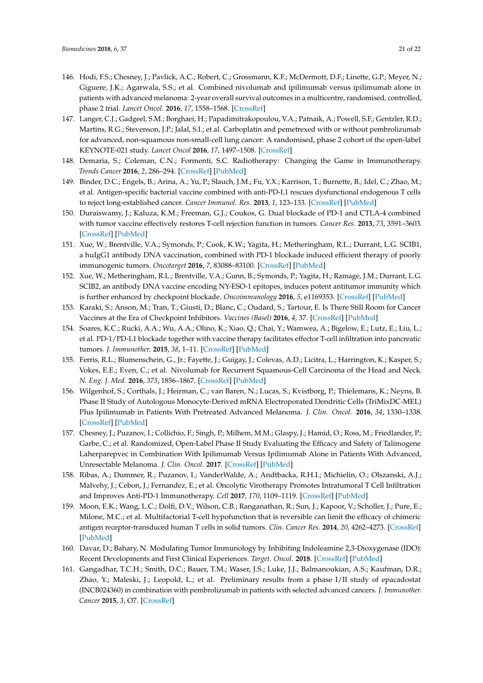- <span id="page-20-0"></span>146. Hodi, F.S.; Chesney, J.; Pavlick, A.C.; Robert, C.; Grossmann, K.F.; McDermott, D.F.; Linette, G.P.; Meyer, N.; Giguere, J.K.; Agarwala, S.S.; et al. Combined nivolumab and ipilimumab versus ipilimumab alone in patients with advanced melanoma: 2-year overall survival outcomes in a multicentre, randomised, controlled, phase 2 trial. *Lancet Oncol.* **2016**, *17*, 1558–1568. [\[CrossRef\]](http://dx.doi.org/10.1016/S1470-2045(16)30366-7)
- <span id="page-20-1"></span>147. Langer, C.J.; Gadgeel, S.M.; Borghaei, H.; Papadimitrakopoulou, V.A.; Patnaik, A.; Powell, S.F.; Gentzler, R.D.; Martins, R.G.; Stevenson, J.P.; Jalal, S.I.; et al. Carboplatin and pemetrexed with or without pembrolizumab for advanced, non-squamous non-small-cell lung cancer: A randomised, phase 2 cohort of the open-label KEYNOTE-021 study. *Lancet Oncol* **2016**, *17*, 1497–1508. [\[CrossRef\]](http://dx.doi.org/10.1016/S1470-2045(16)30498-3)
- <span id="page-20-2"></span>148. Demaria, S.; Coleman, C.N.; Formenti, S.C. Radiotherapy: Changing the Game in Immunotherapy. *Trends Cancer* **2016**, *2*, 286–294. [\[CrossRef\]](http://dx.doi.org/10.1016/j.trecan.2016.05.002) [\[PubMed\]](http://www.ncbi.nlm.nih.gov/pubmed/27774519)
- <span id="page-20-3"></span>149. Binder, D.C.; Engels, B.; Arina, A.; Yu, P.; Slauch, J.M.; Fu, Y.X.; Karrison, T.; Burnette, B.; Idel, C.; Zhao, M.; et al. Antigen-specific bacterial vaccine combined with anti-PD-L1 rescues dysfunctional endogenous T cells to reject long-established cancer. *Cancer Immunol. Res.* **2013**, *1*, 123–133. [\[CrossRef\]](http://dx.doi.org/10.1158/2326-6066.CIR-13-0058) [\[PubMed\]](http://www.ncbi.nlm.nih.gov/pubmed/24455752)
- 150. Duraiswamy, J.; Kaluza, K.M.; Freeman, G.J.; Coukos, G. Dual blockade of PD-1 and CTLA-4 combined with tumor vaccine effectively restores T-cell rejection function in tumors. *Cancer Res.* **2013**, *73*, 3591–3603. [\[CrossRef\]](http://dx.doi.org/10.1158/0008-5472.CAN-12-4100) [\[PubMed\]](http://www.ncbi.nlm.nih.gov/pubmed/23633484)
- <span id="page-20-7"></span>151. Xue, W.; Brentville, V.A.; Symonds, P.; Cook, K.W.; Yagita, H.; Metheringham, R.L.; Durrant, L.G. SCIB1, a huIgG1 antibody DNA vaccination, combined with PD-1 blockade induced efficient therapy of poorly immunogenic tumors. *Oncotarget* **2016**, *7*, 83088–83100. [\[CrossRef\]](http://dx.doi.org/10.18632/oncotarget.13070) [\[PubMed\]](http://www.ncbi.nlm.nih.gov/pubmed/27825115)
- <span id="page-20-4"></span>152. Xue, W.; Metheringham, R.L.; Brentville, V.A.; Gunn, B.; Symonds, P.; Yagita, H.; Ramage, J.M.; Durrant, L.G. SCIB2, an antibody DNA vaccine encoding NY-ESO-1 epitopes, induces potent antitumor immunity which is further enhanced by checkpoint blockade. *Oncoimmunology* **2016**, *5*, e1169353. [\[CrossRef\]](http://dx.doi.org/10.1080/2162402X.2016.1169353) [\[PubMed\]](http://www.ncbi.nlm.nih.gov/pubmed/27471648)
- <span id="page-20-5"></span>153. Karaki, S.; Anson, M.; Tran, T.; Giusti, D.; Blanc, C.; Oudard, S.; Tartour, E. Is There Still Room for Cancer Vaccines at the Era of Checkpoint Inhibitors. *Vaccines (Basel)* **2016**, *4*, 37. [\[CrossRef\]](http://dx.doi.org/10.3390/vaccines4040037) [\[PubMed\]](http://www.ncbi.nlm.nih.gov/pubmed/27827885)
- <span id="page-20-6"></span>154. Soares, K.C.; Rucki, A.A.; Wu, A.A.; Olino, K.; Xiao, Q.; Chai, Y.; Wamwea, A.; Bigelow, E.; Lutz, E.; Liu, L.; et al. PD-1/PD-L1 blockade together with vaccine therapy facilitates effector T-cell infiltration into pancreatic tumors. *J. Immunother.* **2015**, *38*, 1–11. [\[CrossRef\]](http://dx.doi.org/10.1097/CJI.0000000000000062) [\[PubMed\]](http://www.ncbi.nlm.nih.gov/pubmed/25415283)
- <span id="page-20-8"></span>155. Ferris, R.L.; Blumenschein, G., Jr.; Fayette, J.; Guigay, J.; Colevas, A.D.; Licitra, L.; Harrington, K.; Kasper, S.; Vokes, E.E.; Even, C.; et al. Nivolumab for Recurrent Squamous-Cell Carcinoma of the Head and Neck. *N. Eng. J. Med.* **2016**, *375*, 1856–1867. [\[CrossRef\]](http://dx.doi.org/10.1056/NEJMoa1602252) [\[PubMed\]](http://www.ncbi.nlm.nih.gov/pubmed/27718784)
- <span id="page-20-9"></span>156. Wilgenhof, S.; Corthals, J.; Heirman, C.; van Baren, N.; Lucas, S.; Kvistborg, P.; Thielemans, K.; Neyns, B. Phase II Study of Autologous Monocyte-Derived mRNA Electroporated Dendritic Cells (TriMixDC-MEL) Plus Ipilimumab in Patients With Pretreated Advanced Melanoma. *J. Clin. Oncol.* **2016**, *34*, 1330–1338. [\[CrossRef\]](http://dx.doi.org/10.1200/JCO.2015.63.4121) [\[PubMed\]](http://www.ncbi.nlm.nih.gov/pubmed/26926680)
- <span id="page-20-10"></span>157. Chesney, J.; Puzanov, I.; Collichio, F.; Singh, P.; Milhem, M.M.; Glaspy, J.; Hamid, O.; Ross, M.; Friedlander, P.; Garbe, C.; et al. Randomized, Open-Label Phase II Study Evaluating the Efficacy and Safety of Talimogene Laherparepvec in Combination With Ipilimumab Versus Ipilimumab Alone in Patients With Advanced, Unresectable Melanoma. *J. Clin. Oncol.* **2017**. [\[CrossRef\]](http://dx.doi.org/10.1200/JCO.2017.73.7379) [\[PubMed\]](http://www.ncbi.nlm.nih.gov/pubmed/28981385)
- <span id="page-20-11"></span>158. Ribas, A.; Dummer, R.; Puzanov, I.; VanderWalde, A.; Andtbacka, R.H.I.; Michielin, O.; Olszanski, A.J.; Malvehy, J.; Cebon, J.; Fernandez, E.; et al. Oncolytic Virotherapy Promotes Intratumoral T Cell Infiltration and Improves Anti-PD-1 Immunotherapy. *Cell* **2017**, *170*, 1109–1119. [\[CrossRef\]](http://dx.doi.org/10.1016/j.cell.2017.08.027) [\[PubMed\]](http://www.ncbi.nlm.nih.gov/pubmed/28886381)
- <span id="page-20-12"></span>159. Moon, E.K.; Wang, L.C.; Dolfi, D.V.; Wilson, C.B.; Ranganathan, R.; Sun, J.; Kapoor, V.; Scholler, J.; Pure, E.; Milone, M.C.; et al. Multifactorial T-cell hypofunction that is reversible can limit the efficacy of chimeric antigen receptor-transduced human T cells in solid tumors. *Clin. Cancer Res.* **2014**, *20*, 4262–4273. [\[CrossRef\]](http://dx.doi.org/10.1158/1078-0432.CCR-13-2627) [\[PubMed\]](http://www.ncbi.nlm.nih.gov/pubmed/24919573)
- <span id="page-20-13"></span>160. Davar, D.; Bahary, N. Modulating Tumor Immunology by Inhibiting Indoleamine 2,3-Dioxygenase (IDO): Recent Developments and First Clinical Experiences. *Target. Oncol.* **2018**. [\[CrossRef\]](http://dx.doi.org/10.1007/s11523-017-0547-9) [\[PubMed\]](http://www.ncbi.nlm.nih.gov/pubmed/29302770)
- <span id="page-20-14"></span>161. Gangadhar, T.C.H.; Smith, D.C.; Bauer, T.M.; Waser, J.S.; Luke, J.J.; Balmanoukian, A.S.; Kaufman, D.R.; Zhao, Y.; Maleski, J.; Leopold, L.; et al. Preliminary results from a phase I/II study of epacadostat (INCB024360) in combination with pembrolizumab in patients with selected advanced cancers. *J. Immunother. Cancer* **2015**, *3*, O7. [\[CrossRef\]](http://dx.doi.org/10.1186/2051-1426-3-S2-O7)